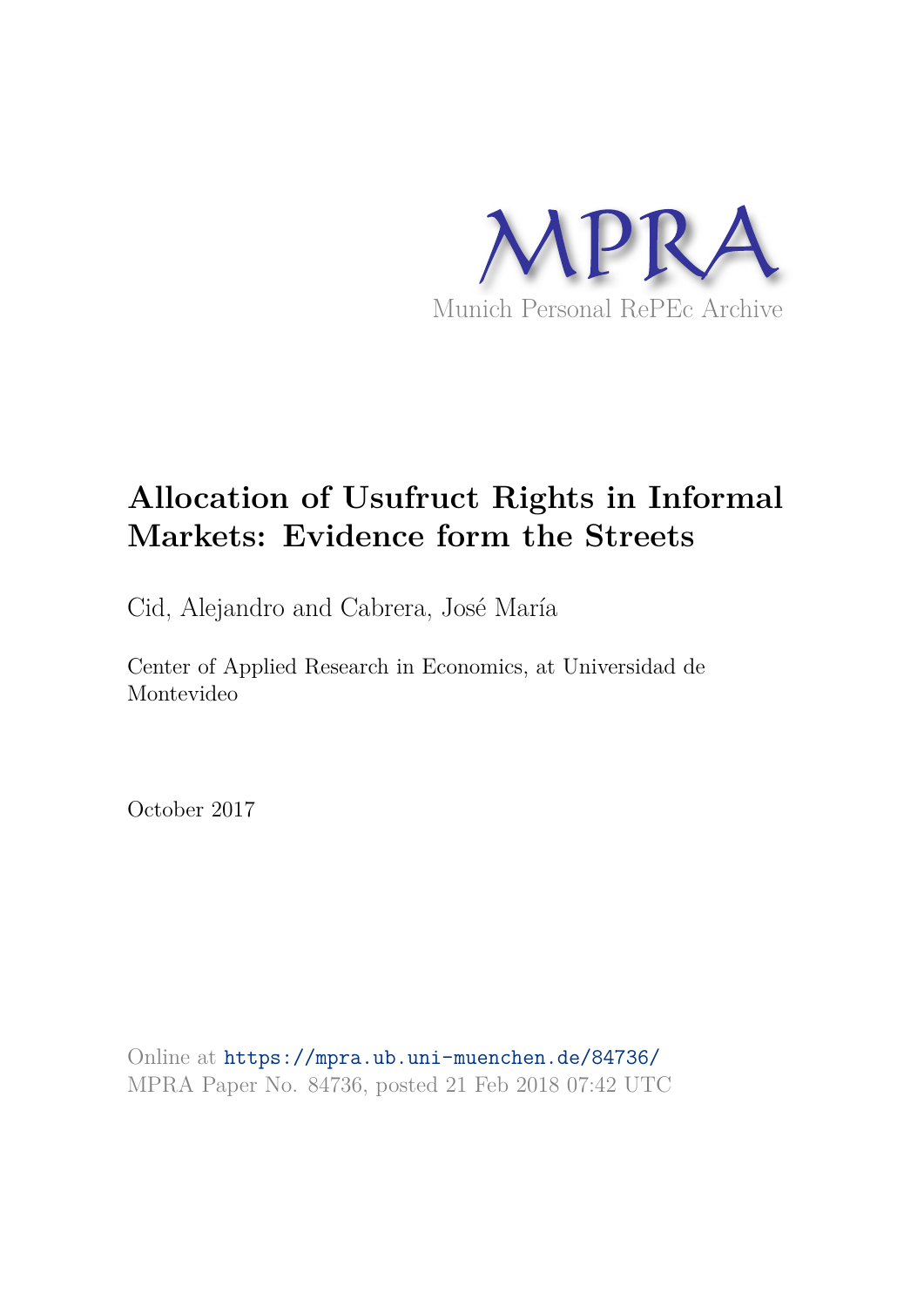

# **Allocation of Usufruct Rights in Informal Markets: Evidence form the Streets**

Cid, Alejandro and Cabrera, José María

Center of Applied Research in Economics, at Universidad de Montevideo

October 2017

Online at https://mpra.ub.uni-muenchen.de/84736/ MPRA Paper No. 84736, posted 21 Feb 2018 07:42 UTC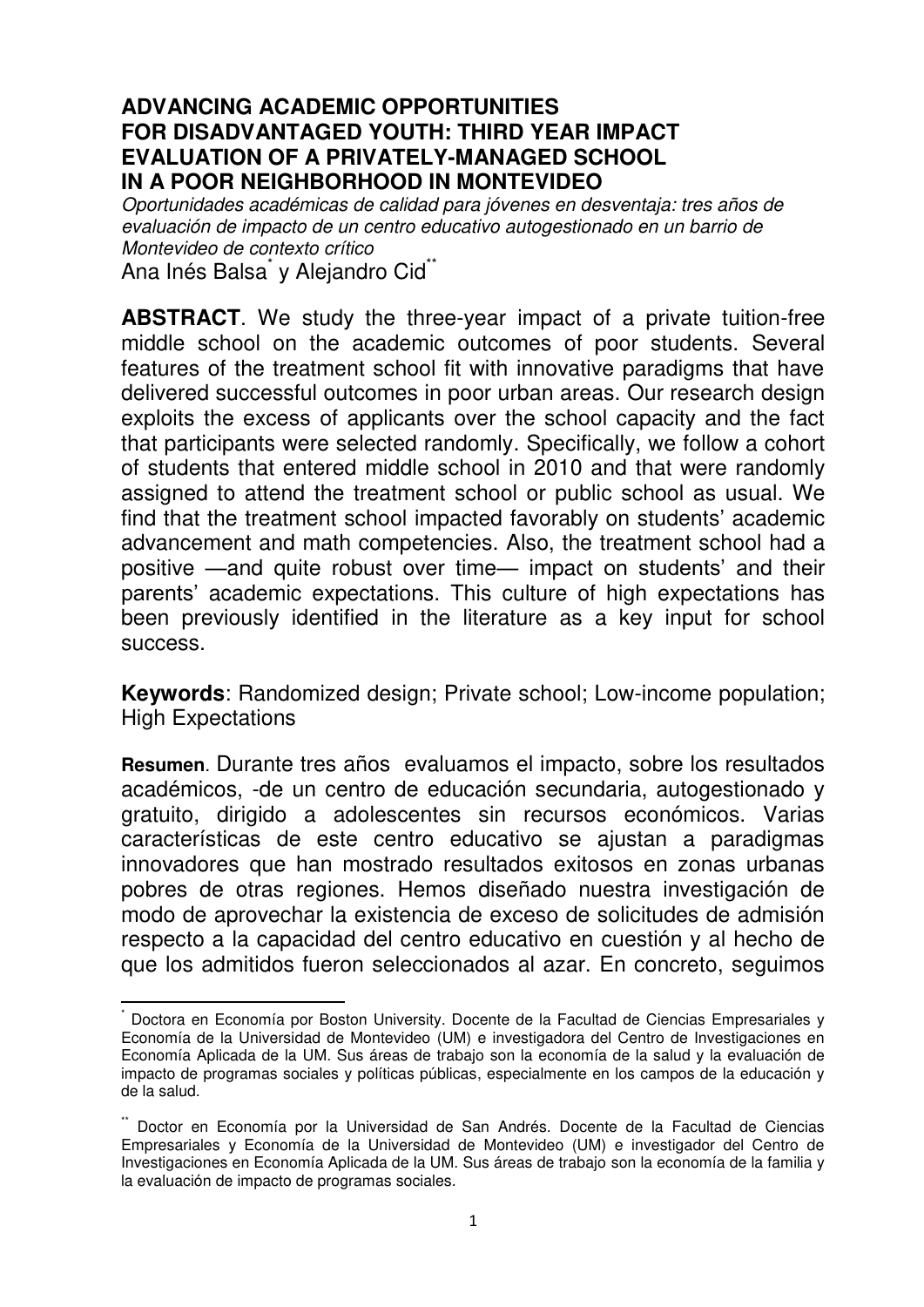# **ADVANCING ACADEMIC OPPORTUNITIES FOR DISADVANTAGED YOUTH: THIRD YEAR IMPACT EVALUATION OF A PRIVATELY-MANAGED SCHOOL IN A POOR NEIGHBORHOOD IN MONTEVIDEO**

*Oportunidades académicas de calidad para jóvenes en desventaja: tres años de evaluación de impacto de un centro educativo autogestionado en un barrio de Montevideo de contexto crítico*  Ana Inés Balsa<sup>\*</sup> y Alejandro Cid<sup>\*\*</sup>

**ABSTRACT**. We study the three-year impact of a private tuition-free middle school on the academic outcomes of poor students. Several features of the treatment school fit with innovative paradigms that have delivered successful outcomes in poor urban areas. Our research design exploits the excess of applicants over the school capacity and the fact that participants were selected randomly. Specifically, we follow a cohort of students that entered middle school in 2010 and that were randomly assigned to attend the treatment school or public school as usual. We find that the treatment school impacted favorably on students' academic advancement and math competencies. Also, the treatment school had a positive —and quite robust over time— impact on students' and their parents' academic expectations. This culture of high expectations has been previously identified in the literature as a key input for school success.

**Keywords**: Randomized design; Private school; Low-income population; High Expectations

**Resumen**. Durante tres años evaluamos el impacto, sobre los resultados académicos, -de un centro de educación secundaria, autogestionado y gratuito, dirigido a adolescentes sin recursos económicos. Varias características de este centro educativo se ajustan a paradigmas innovadores que han mostrado resultados exitosos en zonas urbanas pobres de otras regiones. Hemos diseñado nuestra investigación de modo de aprovechar la existencia de exceso de solicitudes de admisión respecto a la capacidad del centro educativo en cuestión y al hecho de que los admitidos fueron seleccionados al azar. En concreto, seguimos

<sup>\*</sup> Doctora en Economía por Boston University. Docente de la Facultad de Ciencias Empresariales y Economía de la Universidad de Montevideo (UM) e investigadora del Centro de Investigaciones en Economía Aplicada de la UM. Sus áreas de trabajo son la economía de la salud y la evaluación de impacto de programas sociales y políticas públicas, especialmente en los campos de la educación y de la salud.

<sup>\*\*</sup> Doctor en Economía por la Universidad de San Andrés. Docente de la Facultad de Ciencias Empresariales y Economía de la Universidad de Montevideo (UM) e investigador del Centro de Investigaciones en Economía Aplicada de la UM. Sus áreas de trabajo son la economía de la familia y la evaluación de impacto de programas sociales.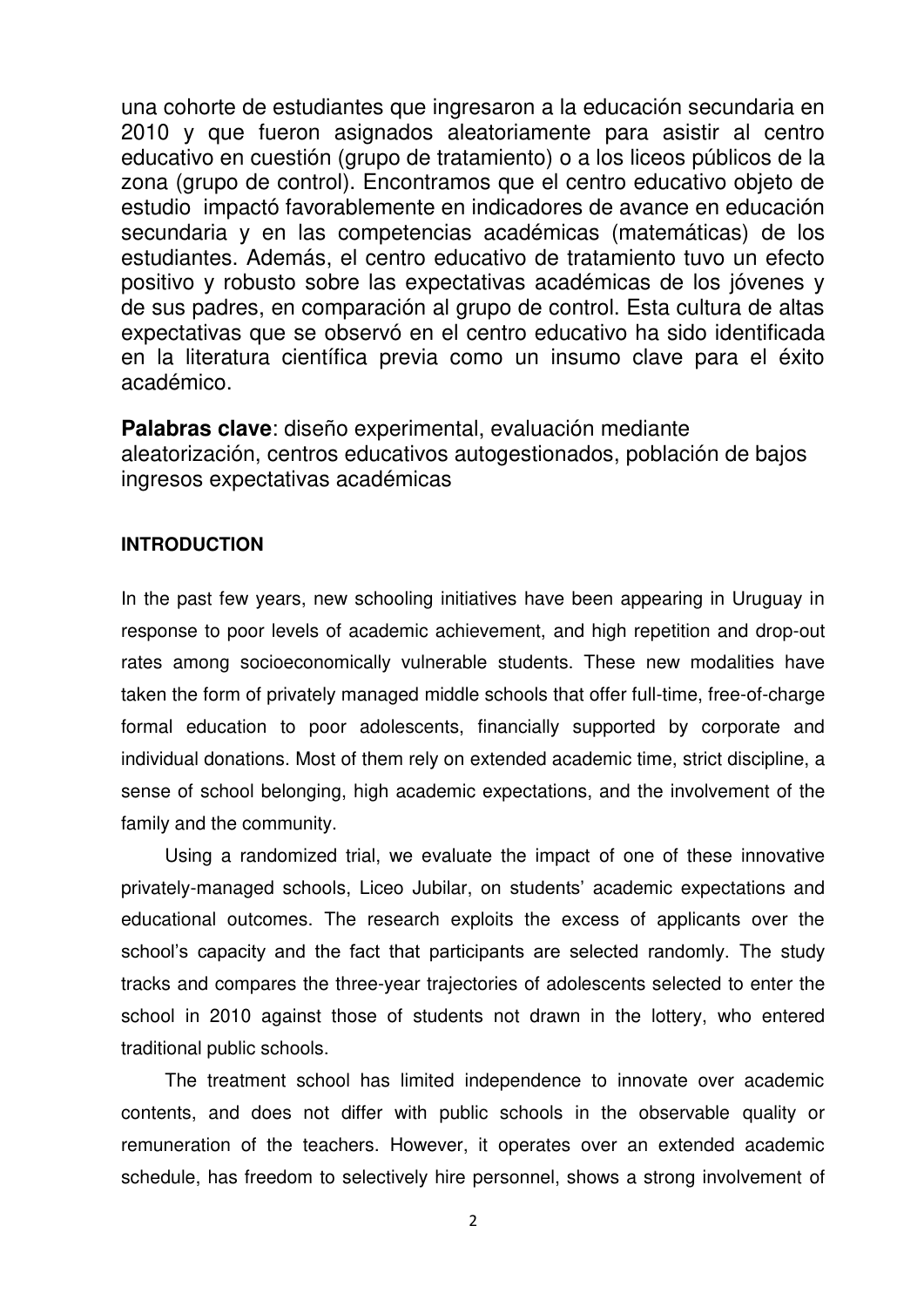una cohorte de estudiantes que ingresaron a la educación secundaria en 2010 y que fueron asignados aleatoriamente para asistir al centro educativo en cuestión (grupo de tratamiento) o a los liceos públicos de la zona (grupo de control). Encontramos que el centro educativo objeto de estudio impactó favorablemente en indicadores de avance en educación secundaria y en las competencias académicas (matemáticas) de los estudiantes. Además, el centro educativo de tratamiento tuvo un efecto positivo y robusto sobre las expectativas académicas de los jóvenes y de sus padres, en comparación al grupo de control. Esta cultura de altas expectativas que se observó en el centro educativo ha sido identificada en la literatura científica previa como un insumo clave para el éxito académico.

**Palabras clave**: diseño experimental, evaluación mediante aleatorización, centros educativos autogestionados, población de bajos ingresos expectativas académicas

## **INTRODUCTION**

In the past few years, new schooling initiatives have been appearing in Uruguay in response to poor levels of academic achievement, and high repetition and drop-out rates among socioeconomically vulnerable students. These new modalities have taken the form of privately managed middle schools that offer full-time, free-of-charge formal education to poor adolescents, financially supported by corporate and individual donations. Most of them rely on extended academic time, strict discipline, a sense of school belonging, high academic expectations, and the involvement of the family and the community.

Using a randomized trial, we evaluate the impact of one of these innovative privately-managed schools, Liceo Jubilar, on students' academic expectations and educational outcomes. The research exploits the excess of applicants over the school's capacity and the fact that participants are selected randomly. The study tracks and compares the three-year trajectories of adolescents selected to enter the school in 2010 against those of students not drawn in the lottery, who entered traditional public schools.

The treatment school has limited independence to innovate over academic contents, and does not differ with public schools in the observable quality or remuneration of the teachers. However, it operates over an extended academic schedule, has freedom to selectively hire personnel, shows a strong involvement of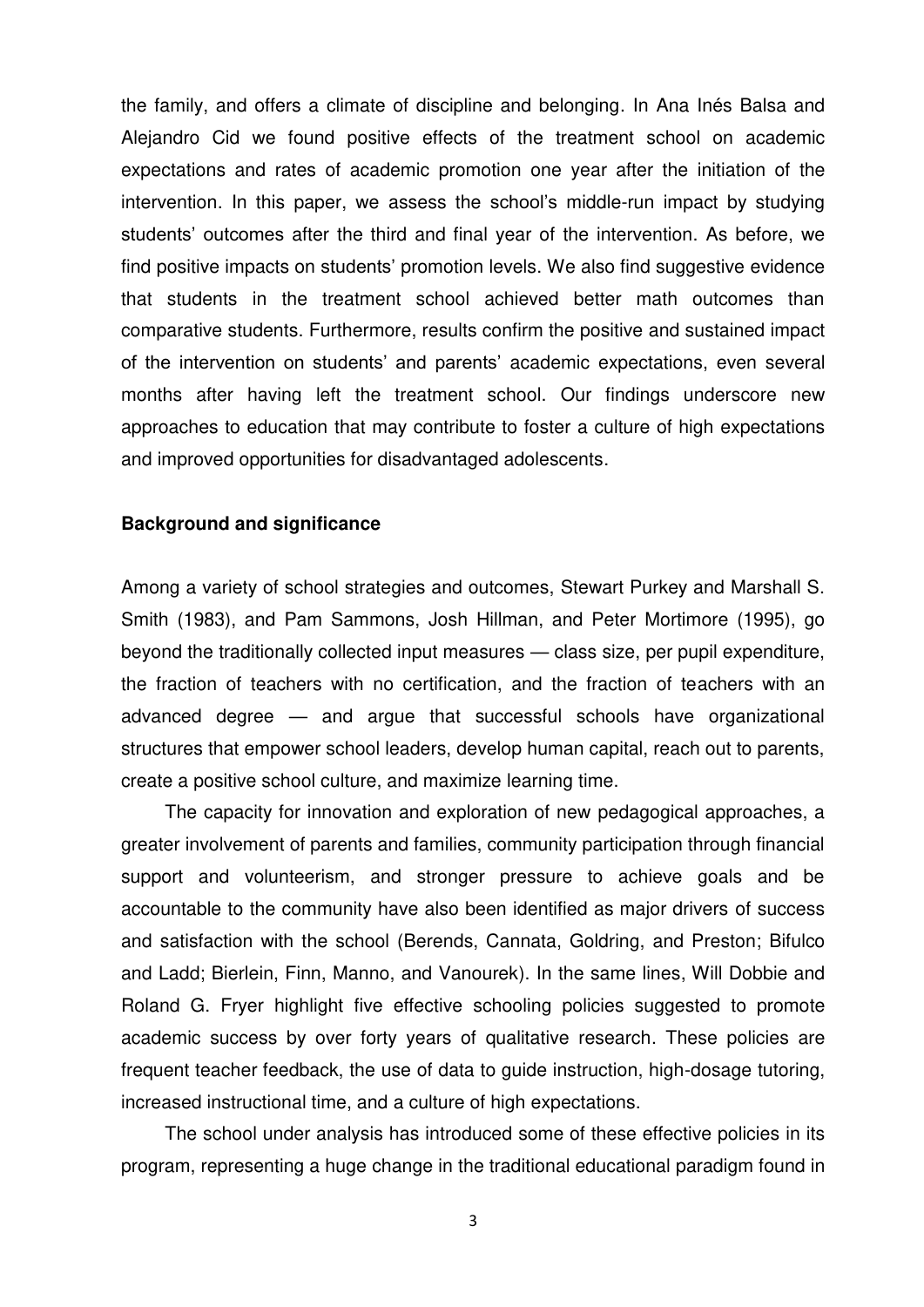the family, and offers a climate of discipline and belonging. In Ana Inés Balsa and Alejandro Cid we found positive effects of the treatment school on academic expectations and rates of academic promotion one year after the initiation of the intervention. In this paper, we assess the school's middle-run impact by studying students' outcomes after the third and final year of the intervention. As before, we find positive impacts on students' promotion levels. We also find suggestive evidence that students in the treatment school achieved better math outcomes than comparative students. Furthermore, results confirm the positive and sustained impact of the intervention on students' and parents' academic expectations, even several months after having left the treatment school. Our findings underscore new approaches to education that may contribute to foster a culture of high expectations and improved opportunities for disadvantaged adolescents.

#### **Background and significance**

Among a variety of school strategies and outcomes, Stewart Purkey and Marshall S. Smith (1983), and Pam Sammons, Josh Hillman, and Peter Mortimore (1995), go beyond the traditionally collected input measures — class size, per pupil expenditure, the fraction of teachers with no certification, and the fraction of teachers with an advanced degree — and argue that successful schools have organizational structures that empower school leaders, develop human capital, reach out to parents, create a positive school culture, and maximize learning time.

The capacity for innovation and exploration of new pedagogical approaches, a greater involvement of parents and families, community participation through financial support and volunteerism, and stronger pressure to achieve goals and be accountable to the community have also been identified as major drivers of success and satisfaction with the school (Berends, Cannata, Goldring, and Preston; Bifulco and Ladd; Bierlein, Finn, Manno, and Vanourek). In the same lines, Will Dobbie and Roland G. Fryer highlight five effective schooling policies suggested to promote academic success by over forty years of qualitative research. These policies are frequent teacher feedback, the use of data to guide instruction, high-dosage tutoring, increased instructional time, and a culture of high expectations.

The school under analysis has introduced some of these effective policies in its program, representing a huge change in the traditional educational paradigm found in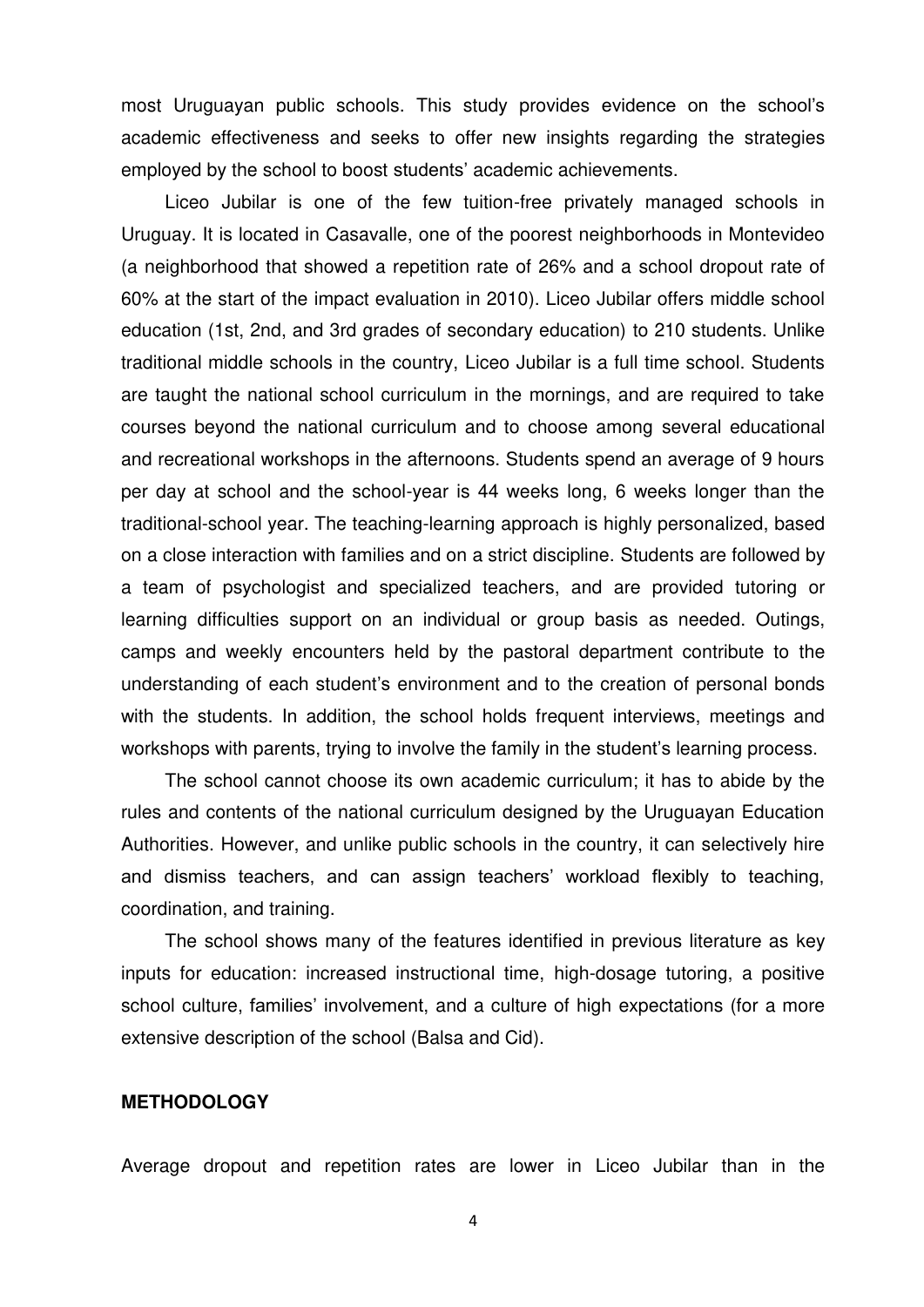most Uruguayan public schools. This study provides evidence on the school's academic effectiveness and seeks to offer new insights regarding the strategies employed by the school to boost students' academic achievements.

Liceo Jubilar is one of the few tuition-free privately managed schools in Uruguay. It is located in Casavalle, one of the poorest neighborhoods in Montevideo (a neighborhood that showed a repetition rate of 26% and a school dropout rate of 60% at the start of the impact evaluation in 2010). Liceo Jubilar offers middle school education (1st, 2nd, and 3rd grades of secondary education) to 210 students. Unlike traditional middle schools in the country, Liceo Jubilar is a full time school. Students are taught the national school curriculum in the mornings, and are required to take courses beyond the national curriculum and to choose among several educational and recreational workshops in the afternoons. Students spend an average of 9 hours per day at school and the school-year is 44 weeks long, 6 weeks longer than the traditional-school year. The teaching-learning approach is highly personalized, based on a close interaction with families and on a strict discipline. Students are followed by a team of psychologist and specialized teachers, and are provided tutoring or learning difficulties support on an individual or group basis as needed. Outings, camps and weekly encounters held by the pastoral department contribute to the understanding of each student's environment and to the creation of personal bonds with the students. In addition, the school holds frequent interviews, meetings and workshops with parents, trying to involve the family in the student's learning process.

The school cannot choose its own academic curriculum; it has to abide by the rules and contents of the national curriculum designed by the Uruguayan Education Authorities. However, and unlike public schools in the country, it can selectively hire and dismiss teachers, and can assign teachers' workload flexibly to teaching, coordination, and training.

The school shows many of the features identified in previous literature as key inputs for education: increased instructional time, high-dosage tutoring, a positive school culture, families' involvement, and a culture of high expectations (for a more extensive description of the school (Balsa and Cid).

#### **METHODOLOGY**

Average dropout and repetition rates are lower in Liceo Jubilar than in the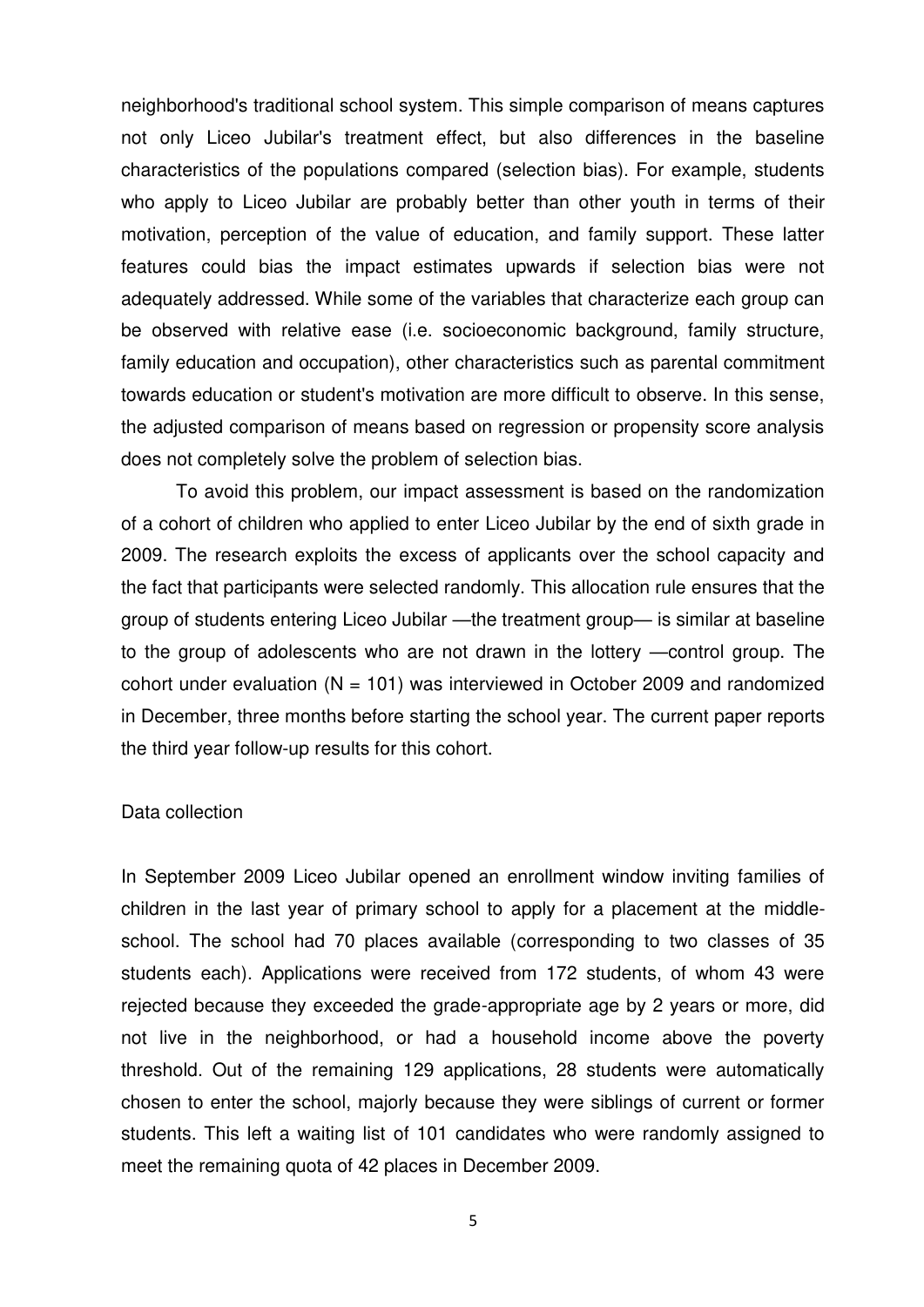neighborhood's traditional school system. This simple comparison of means captures not only Liceo Jubilar's treatment effect, but also differences in the baseline characteristics of the populations compared (selection bias). For example, students who apply to Liceo Jubilar are probably better than other youth in terms of their motivation, perception of the value of education, and family support. These latter features could bias the impact estimates upwards if selection bias were not adequately addressed. While some of the variables that characterize each group can be observed with relative ease (i.e. socioeconomic background, family structure, family education and occupation), other characteristics such as parental commitment towards education or student's motivation are more difficult to observe. In this sense, the adjusted comparison of means based on regression or propensity score analysis does not completely solve the problem of selection bias.

To avoid this problem, our impact assessment is based on the randomization of a cohort of children who applied to enter Liceo Jubilar by the end of sixth grade in 2009. The research exploits the excess of applicants over the school capacity and the fact that participants were selected randomly. This allocation rule ensures that the group of students entering Liceo Jubilar —the treatment group— is similar at baseline to the group of adolescents who are not drawn in the lottery —control group. The cohort under evaluation ( $N = 101$ ) was interviewed in October 2009 and randomized in December, three months before starting the school year. The current paper reports the third year follow-up results for this cohort.

#### Data collection

In September 2009 Liceo Jubilar opened an enrollment window inviting families of children in the last year of primary school to apply for a placement at the middleschool. The school had 70 places available (corresponding to two classes of 35 students each). Applications were received from 172 students, of whom 43 were rejected because they exceeded the grade-appropriate age by 2 years or more, did not live in the neighborhood, or had a household income above the poverty threshold. Out of the remaining 129 applications, 28 students were automatically chosen to enter the school, majorly because they were siblings of current or former students. This left a waiting list of 101 candidates who were randomly assigned to meet the remaining quota of 42 places in December 2009.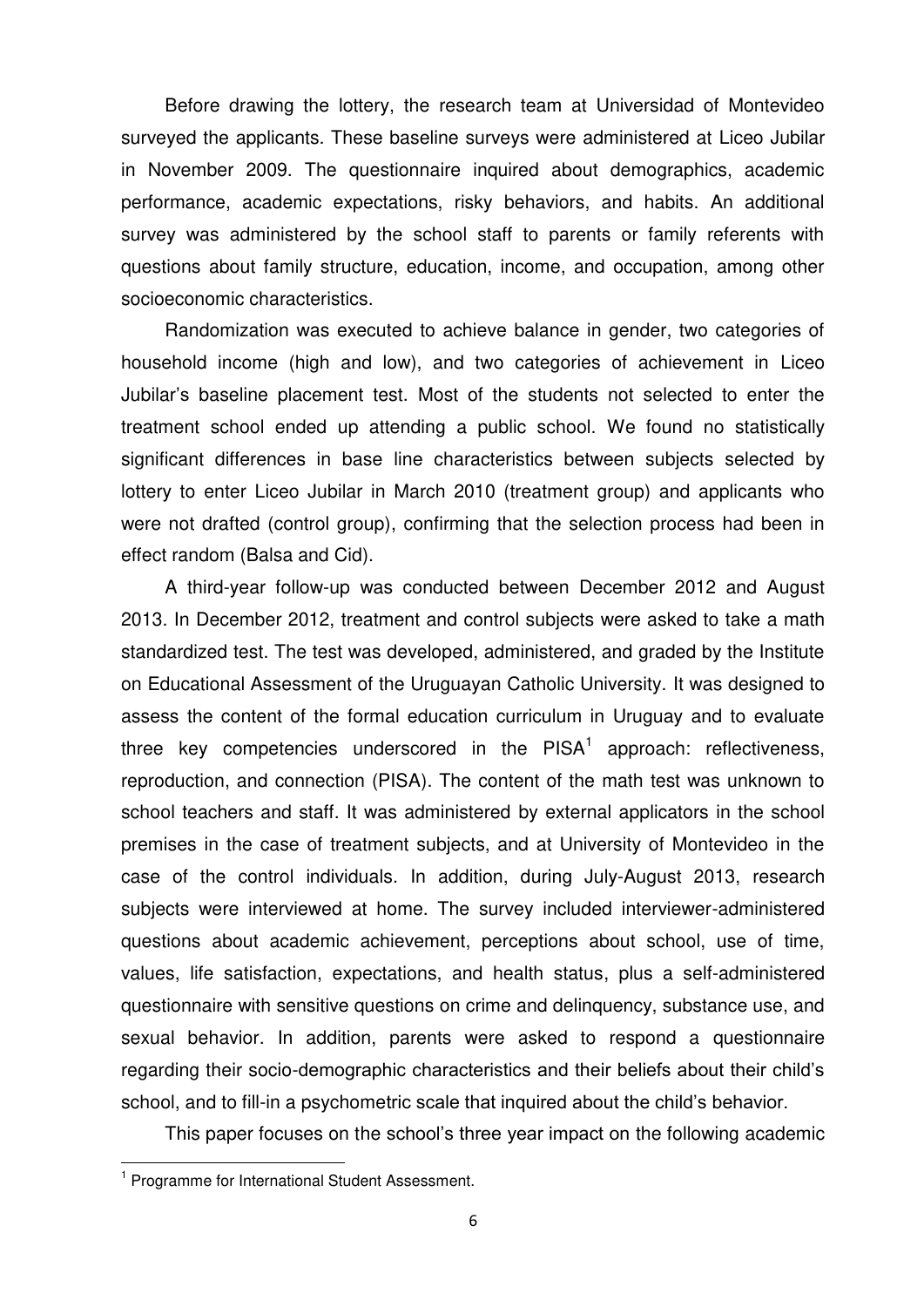Before drawing the lottery, the research team at Universidad of Montevideo surveyed the applicants. These baseline surveys were administered at Liceo Jubilar in November 2009. The questionnaire inquired about demographics, academic performance, academic expectations, risky behaviors, and habits. An additional survey was administered by the school staff to parents or family referents with questions about family structure, education, income, and occupation, among other socioeconomic characteristics.

Randomization was executed to achieve balance in gender, two categories of household income (high and low), and two categories of achievement in Liceo Jubilar's baseline placement test. Most of the students not selected to enter the treatment school ended up attending a public school. We found no statistically significant differences in base line characteristics between subjects selected by lottery to enter Liceo Jubilar in March 2010 (treatment group) and applicants who were not drafted (control group), confirming that the selection process had been in effect random (Balsa and Cid).

A third-year follow-up was conducted between December 2012 and August 2013. In December 2012, treatment and control subjects were asked to take a math standardized test. The test was developed, administered, and graded by the Institute on Educational Assessment of the Uruguayan Catholic University. It was designed to assess the content of the formal education curriculum in Uruguay and to evaluate three key competencies underscored in the  $PISA<sup>1</sup>$  approach: reflectiveness, reproduction, and connection (PISA). The content of the math test was unknown to school teachers and staff. It was administered by external applicators in the school premises in the case of treatment subjects, and at University of Montevideo in the case of the control individuals. In addition, during July-August 2013, research subjects were interviewed at home. The survey included interviewer-administered questions about academic achievement, perceptions about school, use of time, values, life satisfaction, expectations, and health status, plus a self-administered questionnaire with sensitive questions on crime and delinquency, substance use, and sexual behavior. In addition, parents were asked to respond a questionnaire regarding their socio-demographic characteristics and their beliefs about their child's school, and to fill-in a psychometric scale that inquired about the child's behavior.

This paper focuses on the school's three year impact on the following academic

<sup>&</sup>lt;sup>1</sup> Programme for International Student Assessment.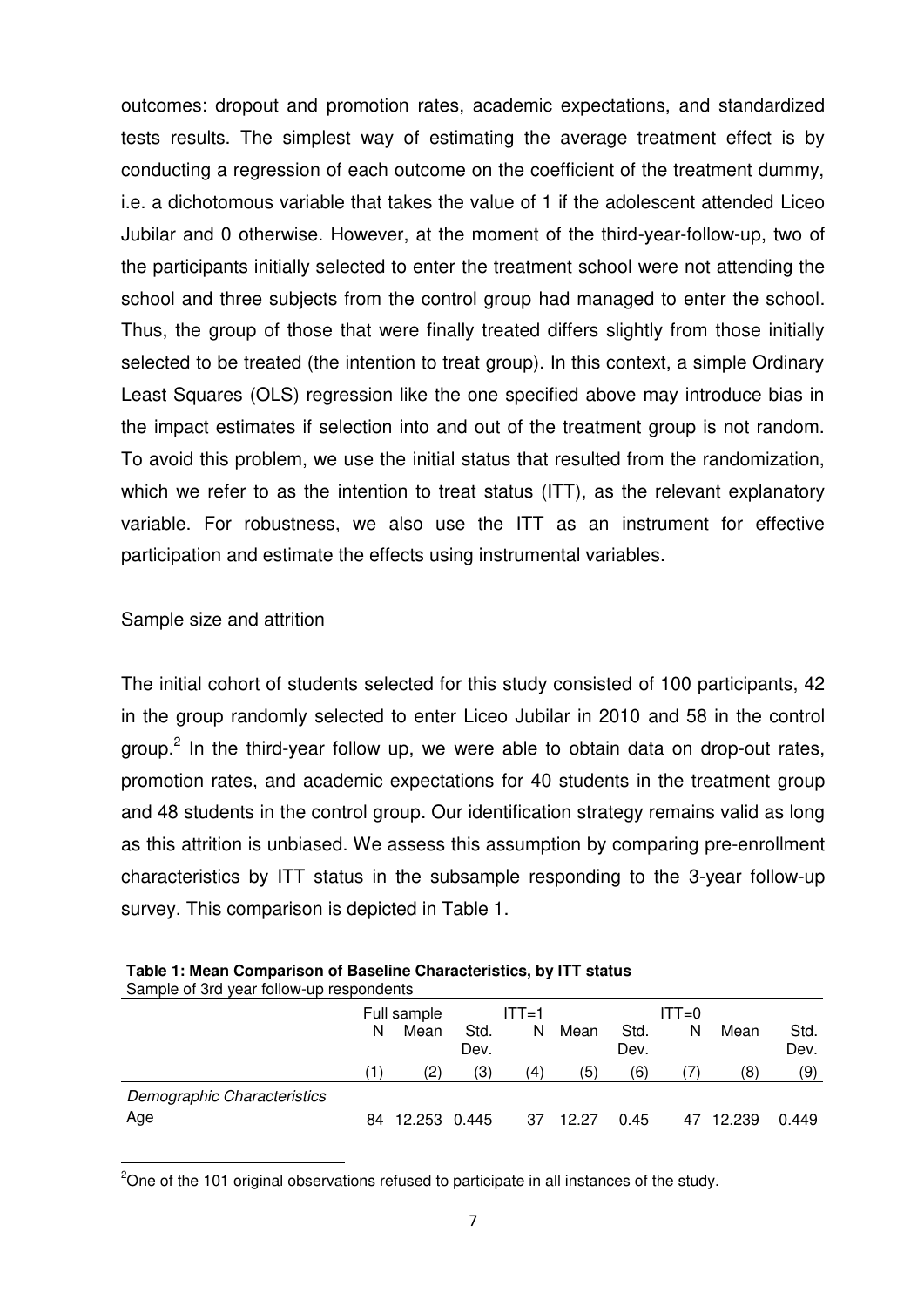outcomes: dropout and promotion rates, academic expectations, and standardized tests results. The simplest way of estimating the average treatment effect is by conducting a regression of each outcome on the coefficient of the treatment dummy, i.e. a dichotomous variable that takes the value of 1 if the adolescent attended Liceo Jubilar and 0 otherwise. However, at the moment of the third-year-follow-up, two of the participants initially selected to enter the treatment school were not attending the school and three subjects from the control group had managed to enter the school. Thus, the group of those that were finally treated differs slightly from those initially selected to be treated (the intention to treat group). In this context, a simple Ordinary Least Squares (OLS) regression like the one specified above may introduce bias in the impact estimates if selection into and out of the treatment group is not random. To avoid this problem, we use the initial status that resulted from the randomization, which we refer to as the intention to treat status (ITT), as the relevant explanatory variable. For robustness, we also use the ITT as an instrument for effective participation and estimate the effects using instrumental variables.

#### Sample size and attrition

.

The initial cohort of students selected for this study consisted of 100 participants, 42 in the group randomly selected to enter Liceo Jubilar in 2010 and 58 in the control group.<sup>2</sup> In the third-year follow up, we were able to obtain data on drop-out rates, promotion rates, and academic expectations for 40 students in the treatment group and 48 students in the control group. Our identification strategy remains valid as long as this attrition is unbiased. We assess this assumption by comparing pre-enrollment characteristics by ITT status in the subsample responding to the 3-year follow-up survey. This comparison is depicted in Table 1.

| Sample of 3rd year follow-up respondents |    |              |              |         |       |              |          |        |              |
|------------------------------------------|----|--------------|--------------|---------|-------|--------------|----------|--------|--------------|
|                                          |    | Full sample  |              | $ITT=1$ |       |              | $IT = 0$ |        |              |
|                                          | N  | Mean         | Std.<br>Dev. | N       | Mean  | Std.<br>Dev. | N        | Mean   | Std.<br>Dev. |
|                                          |    | (2)          | (3)          | (4)     | (5)   | (6)          |          | (8)    | (9)          |
| Demographic Characteristics              |    |              |              |         |       |              |          |        |              |
| Age                                      | 84 | 12.253 0.445 |              | 37      | 12.27 | 0.45         | 47       | 12.239 | 0.449        |

| Table 1: Mean Comparison of Baseline Characteristics, by ITT status |
|---------------------------------------------------------------------|
| Complete Cuditions follows the secondomic                           |

 $2^{\circ}$ One of the 101 original observations refused to participate in all instances of the study.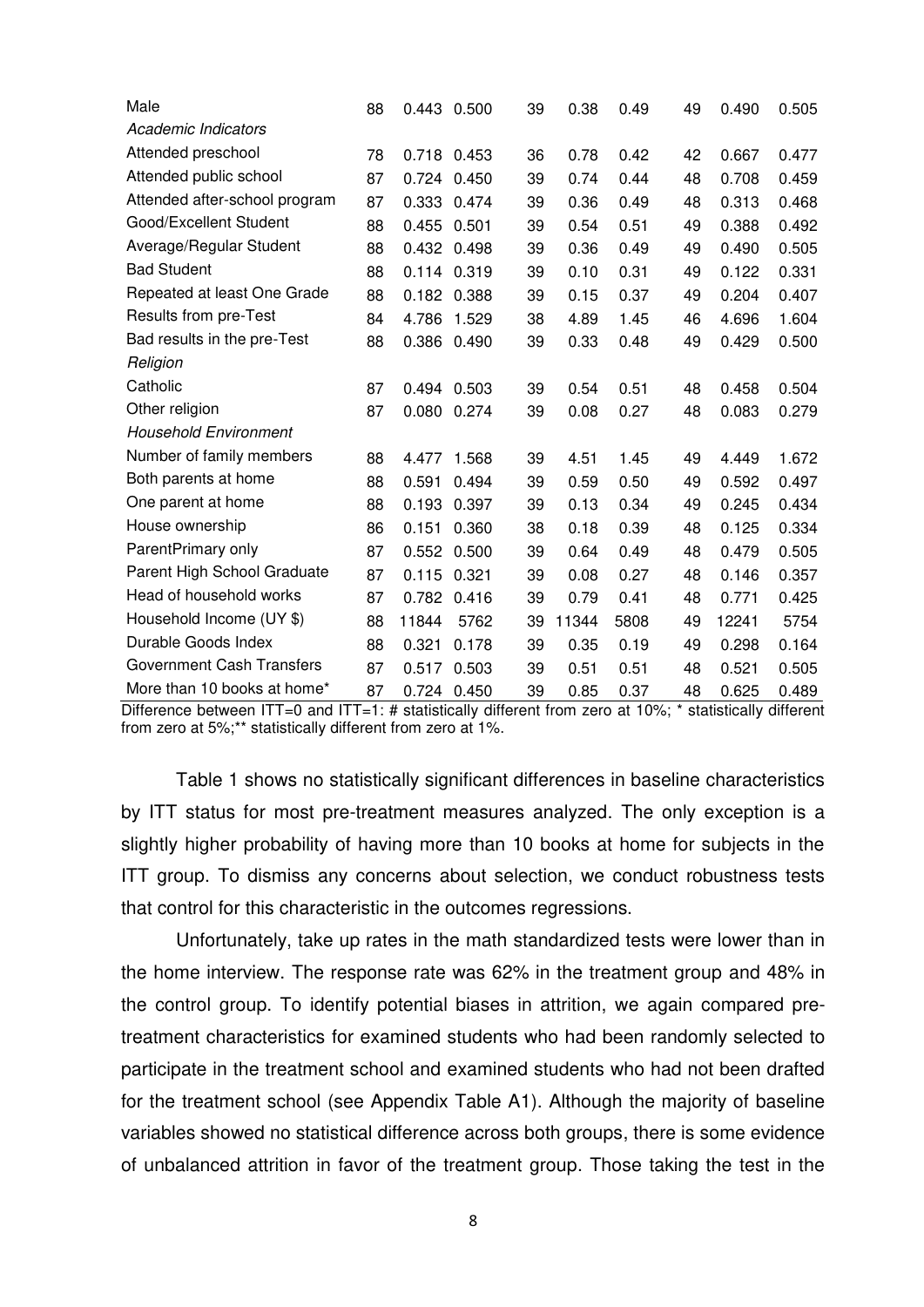| Male                             | 88 | 0.443 0.500 |       | 39 | 0.38  | 0.49 | 49 | 0.490 | 0.505 |
|----------------------------------|----|-------------|-------|----|-------|------|----|-------|-------|
| Academic Indicators              |    |             |       |    |       |      |    |       |       |
| Attended preschool               | 78 | 0.718 0.453 |       | 36 | 0.78  | 0.42 | 42 | 0.667 | 0.477 |
| Attended public school           | 87 | 0.724 0.450 |       | 39 | 0.74  | 0.44 | 48 | 0.708 | 0.459 |
| Attended after-school program    | 87 | 0.333       | 0.474 | 39 | 0.36  | 0.49 | 48 | 0.313 | 0.468 |
| Good/Excellent Student           | 88 | 0.455       | 0.501 | 39 | 0.54  | 0.51 | 49 | 0.388 | 0.492 |
| Average/Regular Student          | 88 | 0.432       | 0.498 | 39 | 0.36  | 0.49 | 49 | 0.490 | 0.505 |
| <b>Bad Student</b>               | 88 | 0.114 0.319 |       | 39 | 0.10  | 0.31 | 49 | 0.122 | 0.331 |
| Repeated at least One Grade      | 88 | 0.182       | 0.388 | 39 | 0.15  | 0.37 | 49 | 0.204 | 0.407 |
| Results from pre-Test            | 84 | 4.786       | 1.529 | 38 | 4.89  | 1.45 | 46 | 4.696 | 1.604 |
| Bad results in the pre-Test      | 88 | 0.386       | 0.490 | 39 | 0.33  | 0.48 | 49 | 0.429 | 0.500 |
| Religion                         |    |             |       |    |       |      |    |       |       |
| Catholic                         | 87 | 0.494       | 0.503 | 39 | 0.54  | 0.51 | 48 | 0.458 | 0.504 |
| Other religion                   | 87 | 0.080       | 0.274 | 39 | 0.08  | 0.27 | 48 | 0.083 | 0.279 |
| <b>Household Environment</b>     |    |             |       |    |       |      |    |       |       |
| Number of family members         | 88 | 4.477       | 1.568 | 39 | 4.51  | 1.45 | 49 | 4.449 | 1.672 |
| Both parents at home             | 88 | 0.591       | 0.494 | 39 | 0.59  | 0.50 | 49 | 0.592 | 0.497 |
| One parent at home               | 88 | 0.193       | 0.397 | 39 | 0.13  | 0.34 | 49 | 0.245 | 0.434 |
| House ownership                  | 86 | 0.151       | 0.360 | 38 | 0.18  | 0.39 | 48 | 0.125 | 0.334 |
| ParentPrimary only               | 87 | 0.552       | 0.500 | 39 | 0.64  | 0.49 | 48 | 0.479 | 0.505 |
| Parent High School Graduate      | 87 | 0.115       | 0.321 | 39 | 0.08  | 0.27 | 48 | 0.146 | 0.357 |
| Head of household works          | 87 | 0.782       | 0.416 | 39 | 0.79  | 0.41 | 48 | 0.771 | 0.425 |
| Household Income (UY \$)         | 88 | 11844       | 5762  | 39 | 11344 | 5808 | 49 | 12241 | 5754  |
| Durable Goods Index              | 88 | 0.321       | 0.178 | 39 | 0.35  | 0.19 | 49 | 0.298 | 0.164 |
| <b>Government Cash Transfers</b> | 87 | 0.517       | 0.503 | 39 | 0.51  | 0.51 | 48 | 0.521 | 0.505 |
| More than 10 books at home*      | 87 | 0.724 0.450 |       | 39 | 0.85  | 0.37 | 48 | 0.625 | 0.489 |

Difference between ITT=0 and ITT=1: # statistically different from zero at 10%;  $*$  statistically different from zero at 5%;\*\* statistically different from zero at 1%.

Table 1 shows no statistically significant differences in baseline characteristics by ITT status for most pre-treatment measures analyzed. The only exception is a slightly higher probability of having more than 10 books at home for subjects in the ITT group. To dismiss any concerns about selection, we conduct robustness tests that control for this characteristic in the outcomes regressions.

Unfortunately, take up rates in the math standardized tests were lower than in the home interview. The response rate was 62% in the treatment group and 48% in the control group. To identify potential biases in attrition, we again compared pretreatment characteristics for examined students who had been randomly selected to participate in the treatment school and examined students who had not been drafted for the treatment school (see Appendix Table A1). Although the majority of baseline variables showed no statistical difference across both groups, there is some evidence of unbalanced attrition in favor of the treatment group. Those taking the test in the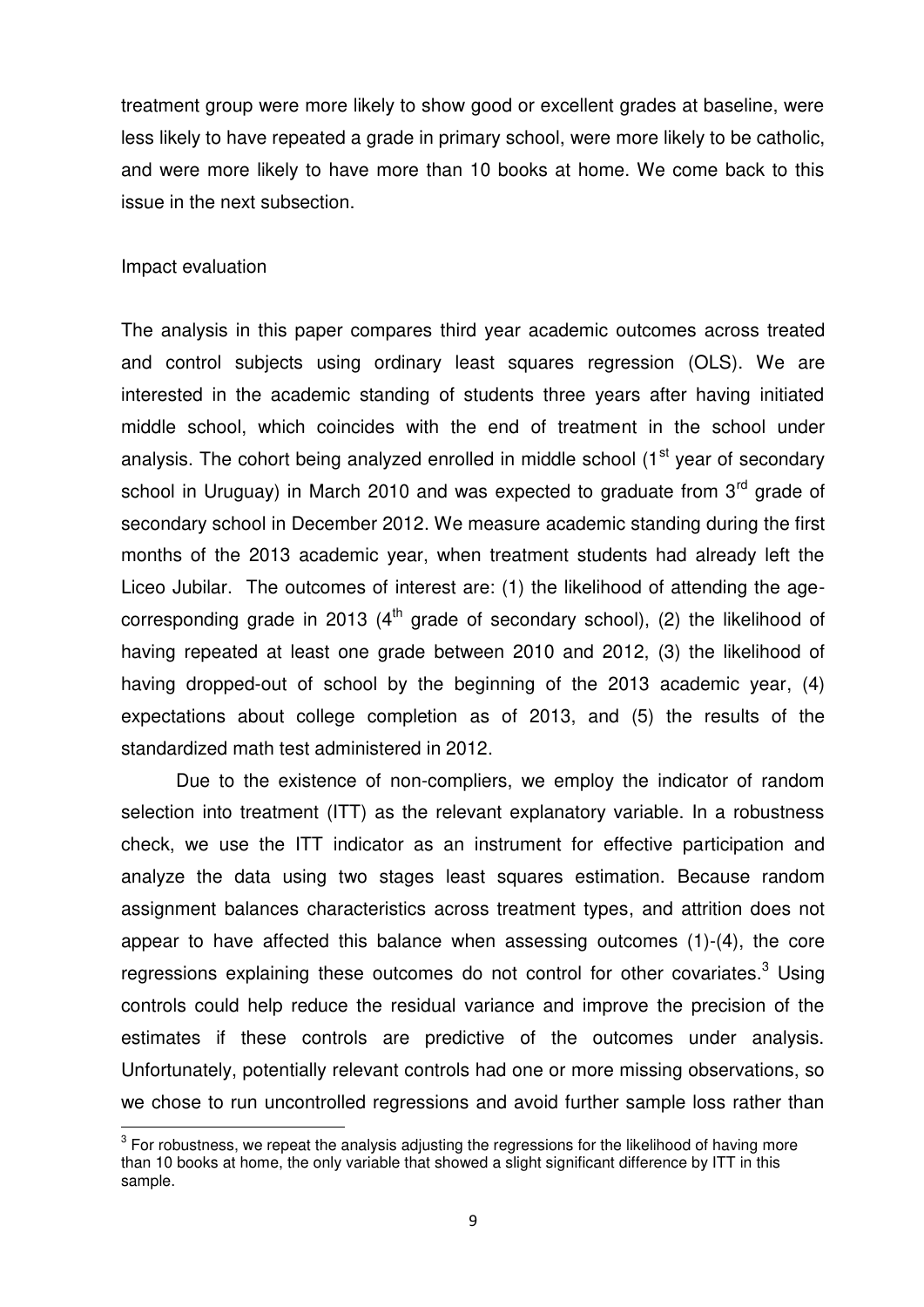treatment group were more likely to show good or excellent grades at baseline, were less likely to have repeated a grade in primary school, were more likely to be catholic, and were more likely to have more than 10 books at home. We come back to this issue in the next subsection.

#### Impact evaluation

The analysis in this paper compares third year academic outcomes across treated and control subjects using ordinary least squares regression (OLS). We are interested in the academic standing of students three years after having initiated middle school, which coincides with the end of treatment in the school under analysis. The cohort being analyzed enrolled in middle school  $(1<sup>st</sup>$  year of secondary school in Uruguay) in March 2010 and was expected to graduate from  $3<sup>rd</sup>$  grade of secondary school in December 2012. We measure academic standing during the first months of the 2013 academic year, when treatment students had already left the Liceo Jubilar. The outcomes of interest are: (1) the likelihood of attending the agecorresponding grade in 2013  $(4<sup>th</sup>$  grade of secondary school), (2) the likelihood of having repeated at least one grade between 2010 and 2012, (3) the likelihood of having dropped-out of school by the beginning of the 2013 academic year, (4) expectations about college completion as of 2013, and (5) the results of the standardized math test administered in 2012.

Due to the existence of non-compliers, we employ the indicator of random selection into treatment (ITT) as the relevant explanatory variable. In a robustness check, we use the ITT indicator as an instrument for effective participation and analyze the data using two stages least squares estimation. Because random assignment balances characteristics across treatment types, and attrition does not appear to have affected this balance when assessing outcomes (1)-(4), the core regressions explaining these outcomes do not control for other covariates. $3$  Using controls could help reduce the residual variance and improve the precision of the estimates if these controls are predictive of the outcomes under analysis. Unfortunately, potentially relevant controls had one or more missing observations, so we chose to run uncontrolled regressions and avoid further sample loss rather than .

 $3$  For robustness, we repeat the analysis adjusting the regressions for the likelihood of having more than 10 books at home, the only variable that showed a slight significant difference by ITT in this sample.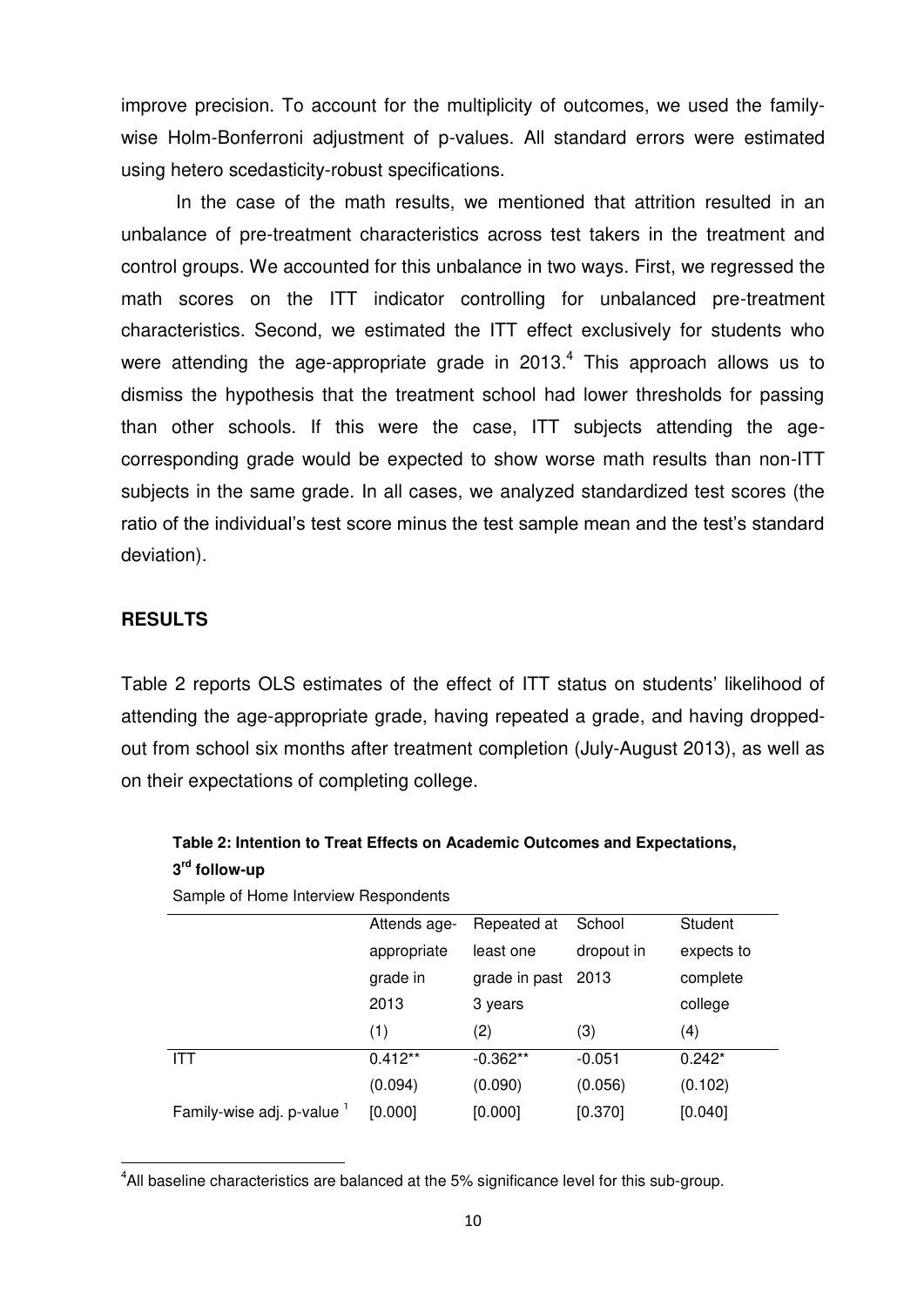improve precision. To account for the multiplicity of outcomes, we used the familywise Holm-Bonferroni adjustment of p-values. All standard errors were estimated using hetero scedasticity-robust specifications.

In the case of the math results, we mentioned that attrition resulted in an unbalance of pre-treatment characteristics across test takers in the treatment and control groups. We accounted for this unbalance in two ways. First, we regressed the math scores on the ITT indicator controlling for unbalanced pre-treatment characteristics. Second, we estimated the ITT effect exclusively for students who were attending the age-appropriate grade in 2013. $4$  This approach allows us to dismiss the hypothesis that the treatment school had lower thresholds for passing than other schools. If this were the case, ITT subjects attending the agecorresponding grade would be expected to show worse math results than non-ITT subjects in the same grade. In all cases, we analyzed standardized test scores (the ratio of the individual's test score minus the test sample mean and the test's standard deviation).

#### **RESULTS**

.

Table 2 reports OLS estimates of the effect of ITT status on students' likelihood of attending the age-appropriate grade, having repeated a grade, and having droppedout from school six months after treatment completion (July-August 2013), as well as on their expectations of completing college.

|                            | Attends age- | Repeated at   | School     | Student    |
|----------------------------|--------------|---------------|------------|------------|
|                            | appropriate  | least one     | dropout in | expects to |
|                            | grade in     | grade in past | 2013       | complete   |
|                            | 2013         | 3 years       |            | college    |
|                            | (1)          | (2)           | (3)        | (4)        |
| <b>ITT</b>                 | $0.412**$    | $-0.362**$    | $-0.051$   | $0.242*$   |
|                            | (0.094)      | (0.090)       | (0.056)    | (0.102)    |
| Family-wise adj. p-value ' | [0.000]      | [0.000]       | [0.370]    | [0.040]    |

**Table 2: Intention to Treat Effects on Academic Outcomes and Expectations, 3 rd follow-up** 

Sample of Home Interview Respondents

<sup>&</sup>lt;sup>4</sup>All baseline characteristics are balanced at the 5% significance level for this sub-group.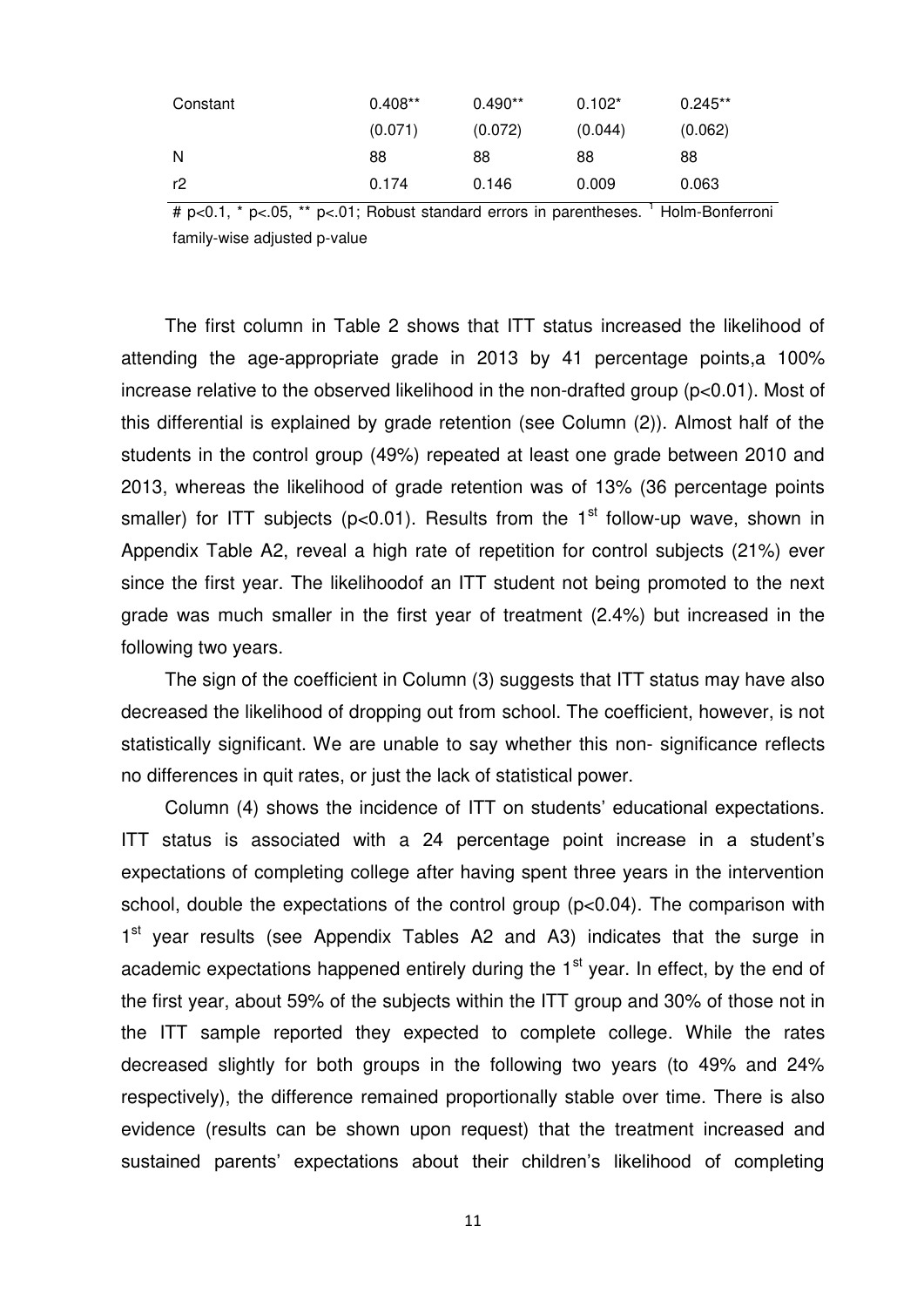| Constant | $0.408**$ | $0.490**$ | $0.102*$ | $0.245**$ |
|----------|-----------|-----------|----------|-----------|
|          | (0.071)   | (0.072)   | (0.044)  | (0.062)   |
| N        | 88        | 88        | 88       | 88        |
| r2       | 0.174     | 0.146     | 0.009    | 0.063     |

# p<0.1, \* p<.05, \*\* p<.01; Robust standard errors in parentheses. <sup>1</sup> Holm-Bonferroni family-wise adjusted p-value

The first column in Table 2 shows that ITT status increased the likelihood of attending the age-appropriate grade in 2013 by 41 percentage points,a 100% increase relative to the observed likelihood in the non-drafted group (p<0.01). Most of this differential is explained by grade retention (see Column (2)). Almost half of the students in the control group (49%) repeated at least one grade between 2010 and 2013, whereas the likelihood of grade retention was of 13% (36 percentage points smaller) for ITT subjects ( $p<0.01$ ). Results from the 1<sup>st</sup> follow-up wave, shown in Appendix Table A2, reveal a high rate of repetition for control subjects (21%) ever since the first year. The likelihoodof an ITT student not being promoted to the next grade was much smaller in the first year of treatment (2.4%) but increased in the following two years.

The sign of the coefficient in Column (3) suggests that ITT status may have also decreased the likelihood of dropping out from school. The coefficient, however, is not statistically significant. We are unable to say whether this non- significance reflects no differences in quit rates, or just the lack of statistical power.

Column (4) shows the incidence of ITT on students' educational expectations. ITT status is associated with a 24 percentage point increase in a student's expectations of completing college after having spent three years in the intervention school, double the expectations of the control group (p<0.04). The comparison with 1<sup>st</sup> year results (see Appendix Tables A2 and A3) indicates that the surge in academic expectations happened entirely during the  $1<sup>st</sup>$  year. In effect, by the end of the first year, about 59% of the subjects within the ITT group and 30% of those not in the ITT sample reported they expected to complete college. While the rates decreased slightly for both groups in the following two years (to 49% and 24% respectively), the difference remained proportionally stable over time. There is also evidence (results can be shown upon request) that the treatment increased and sustained parents' expectations about their children's likelihood of completing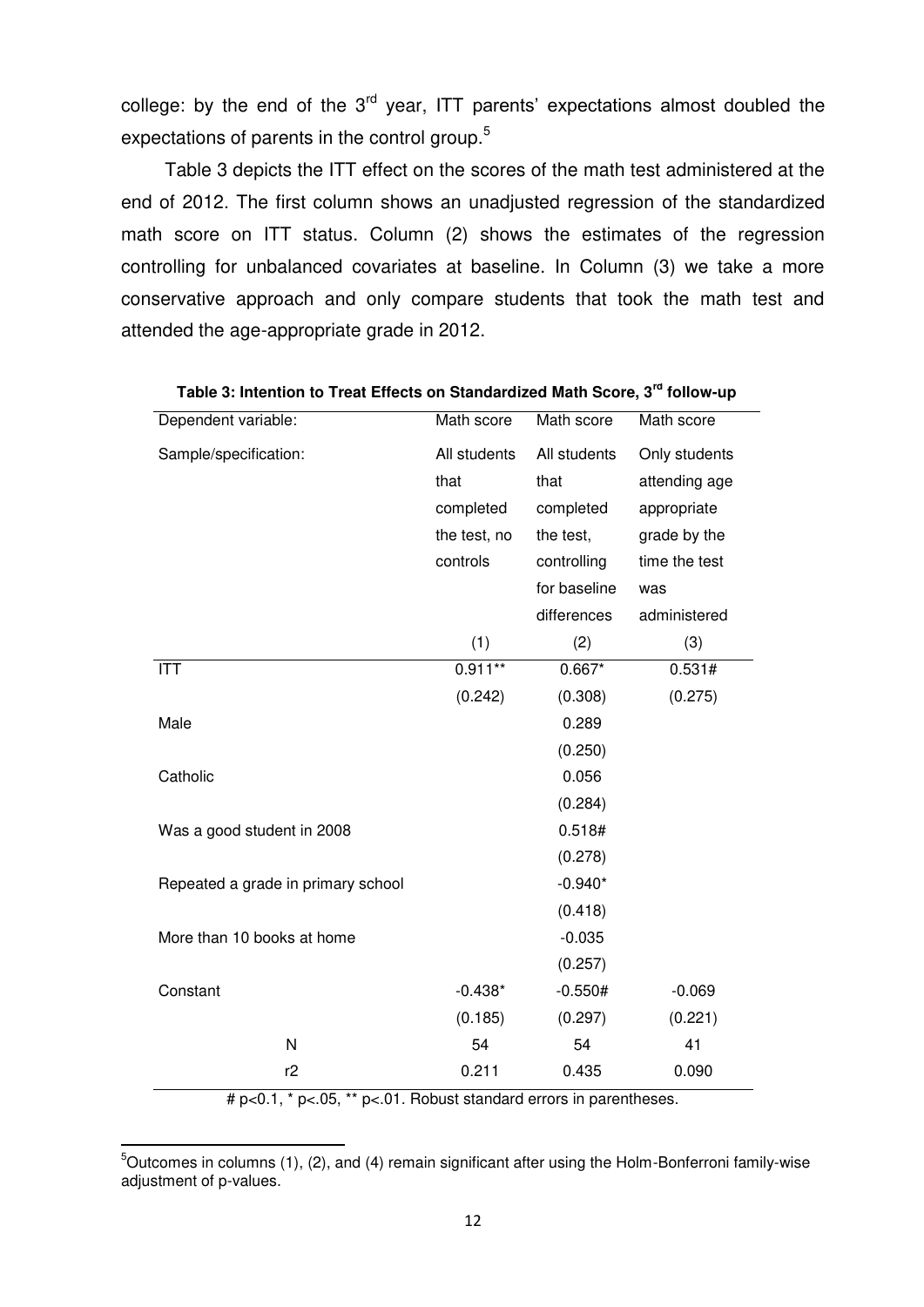college: by the end of the  $3<sup>rd</sup>$  year, ITT parents' expectations almost doubled the expectations of parents in the control group.<sup>5</sup>

Table 3 depicts the ITT effect on the scores of the math test administered at the end of 2012. The first column shows an unadjusted regression of the standardized math score on ITT status. Column (2) shows the estimates of the regression controlling for unbalanced covariates at baseline. In Column (3) we take a more conservative approach and only compare students that took the math test and attended the age-appropriate grade in 2012.

| Dependent variable:                | Math score   | Math score   | Math score    |
|------------------------------------|--------------|--------------|---------------|
| Sample/specification:              | All students | All students | Only students |
|                                    | that         | that         | attending age |
|                                    | completed    | completed    | appropriate   |
|                                    | the test, no | the test,    | grade by the  |
|                                    | controls     | controlling  | time the test |
|                                    |              | for baseline | was           |
|                                    |              | differences  | administered  |
|                                    | (1)          | (2)          | (3)           |
| <b>ITT</b>                         | $0.911**$    | $0.667*$     | 0.531#        |
|                                    | (0.242)      | (0.308)      | (0.275)       |
| Male                               |              | 0.289        |               |
|                                    |              | (0.250)      |               |
| Catholic                           |              | 0.056        |               |
|                                    |              | (0.284)      |               |
| Was a good student in 2008         |              | 0.518#       |               |
|                                    |              | (0.278)      |               |
| Repeated a grade in primary school |              | $-0.940*$    |               |
|                                    |              | (0.418)      |               |
| More than 10 books at home         |              | $-0.035$     |               |
|                                    |              | (0.257)      |               |
| Constant                           | $-0.438*$    | $-0.550#$    | $-0.069$      |
|                                    | (0.185)      | (0.297)      | (0.221)       |
| N                                  | 54           | 54           | 41            |
| r2<br>$\star$                      | 0.211        | 0.435        | 0.090         |

#### **Table 3: Intention to Treat Effects on Standardized Math Score, 3rd follow-up**

# p<0.1, \* p<.05, \*\* p<.01. Robust standard errors in parentheses.

 $5$ Outcomes in columns (1), (2), and (4) remain significant after using the Holm-Bonferroni family-wise adjustment of p-values.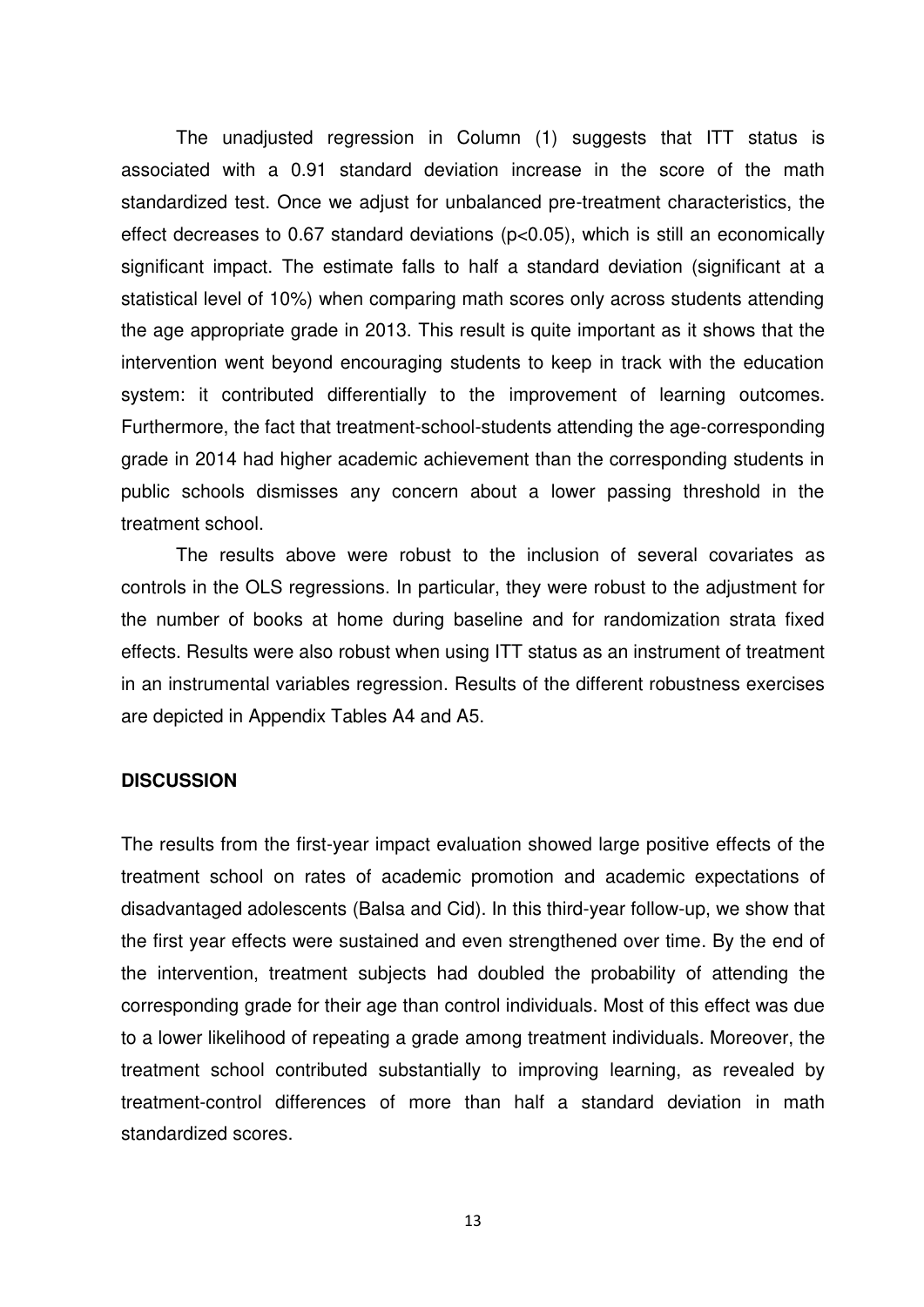The unadjusted regression in Column (1) suggests that ITT status is associated with a 0.91 standard deviation increase in the score of the math standardized test. Once we adjust for unbalanced pre-treatment characteristics, the effect decreases to 0.67 standard deviations (p<0.05), which is still an economically significant impact. The estimate falls to half a standard deviation (significant at a statistical level of 10%) when comparing math scores only across students attending the age appropriate grade in 2013. This result is quite important as it shows that the intervention went beyond encouraging students to keep in track with the education system: it contributed differentially to the improvement of learning outcomes. Furthermore, the fact that treatment-school-students attending the age-corresponding grade in 2014 had higher academic achievement than the corresponding students in public schools dismisses any concern about a lower passing threshold in the treatment school.

 The results above were robust to the inclusion of several covariates as controls in the OLS regressions. In particular, they were robust to the adjustment for the number of books at home during baseline and for randomization strata fixed effects. Results were also robust when using ITT status as an instrument of treatment in an instrumental variables regression. Results of the different robustness exercises are depicted in Appendix Tables A4 and A5.

#### **DISCUSSION**

The results from the first-year impact evaluation showed large positive effects of the treatment school on rates of academic promotion and academic expectations of disadvantaged adolescents (Balsa and Cid). In this third-year follow-up, we show that the first year effects were sustained and even strengthened over time. By the end of the intervention, treatment subjects had doubled the probability of attending the corresponding grade for their age than control individuals. Most of this effect was due to a lower likelihood of repeating a grade among treatment individuals. Moreover, the treatment school contributed substantially to improving learning, as revealed by treatment-control differences of more than half a standard deviation in math standardized scores.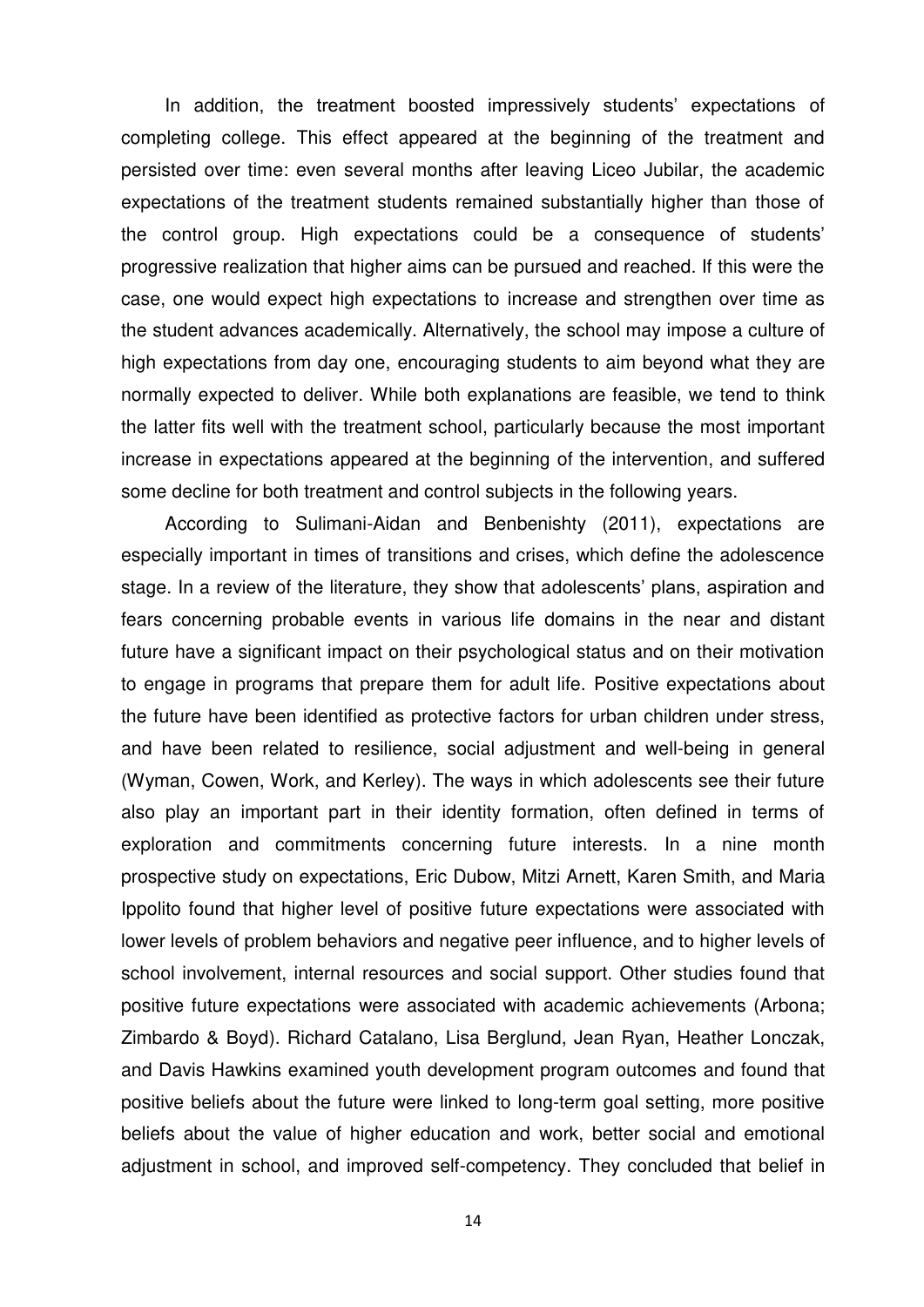In addition, the treatment boosted impressively students' expectations of completing college. This effect appeared at the beginning of the treatment and persisted over time: even several months after leaving Liceo Jubilar, the academic expectations of the treatment students remained substantially higher than those of the control group. High expectations could be a consequence of students' progressive realization that higher aims can be pursued and reached. If this were the case, one would expect high expectations to increase and strengthen over time as the student advances academically. Alternatively, the school may impose a culture of high expectations from day one, encouraging students to aim beyond what they are normally expected to deliver. While both explanations are feasible, we tend to think the latter fits well with the treatment school, particularly because the most important increase in expectations appeared at the beginning of the intervention, and suffered some decline for both treatment and control subjects in the following years.

According to Sulimani-Aidan and Benbenishty (2011), expectations are especially important in times of transitions and crises, which define the adolescence stage. In a review of the literature, they show that adolescents' plans, aspiration and fears concerning probable events in various life domains in the near and distant future have a significant impact on their psychological status and on their motivation to engage in programs that prepare them for adult life. Positive expectations about the future have been identified as protective factors for urban children under stress, and have been related to resilience, social adjustment and well-being in general (Wyman, Cowen, Work, and Kerley). The ways in which adolescents see their future also play an important part in their identity formation, often defined in terms of exploration and commitments concerning future interests. In a nine month prospective study on expectations, Eric Dubow, Mitzi Arnett, Karen Smith, and Maria Ippolito found that higher level of positive future expectations were associated with lower levels of problem behaviors and negative peer influence, and to higher levels of school involvement, internal resources and social support. Other studies found that positive future expectations were associated with academic achievements (Arbona; Zimbardo & Boyd). Richard Catalano, Lisa Berglund, Jean Ryan, Heather Lonczak, and Davis Hawkins examined youth development program outcomes and found that positive beliefs about the future were linked to long-term goal setting, more positive beliefs about the value of higher education and work, better social and emotional adjustment in school, and improved self-competency. They concluded that belief in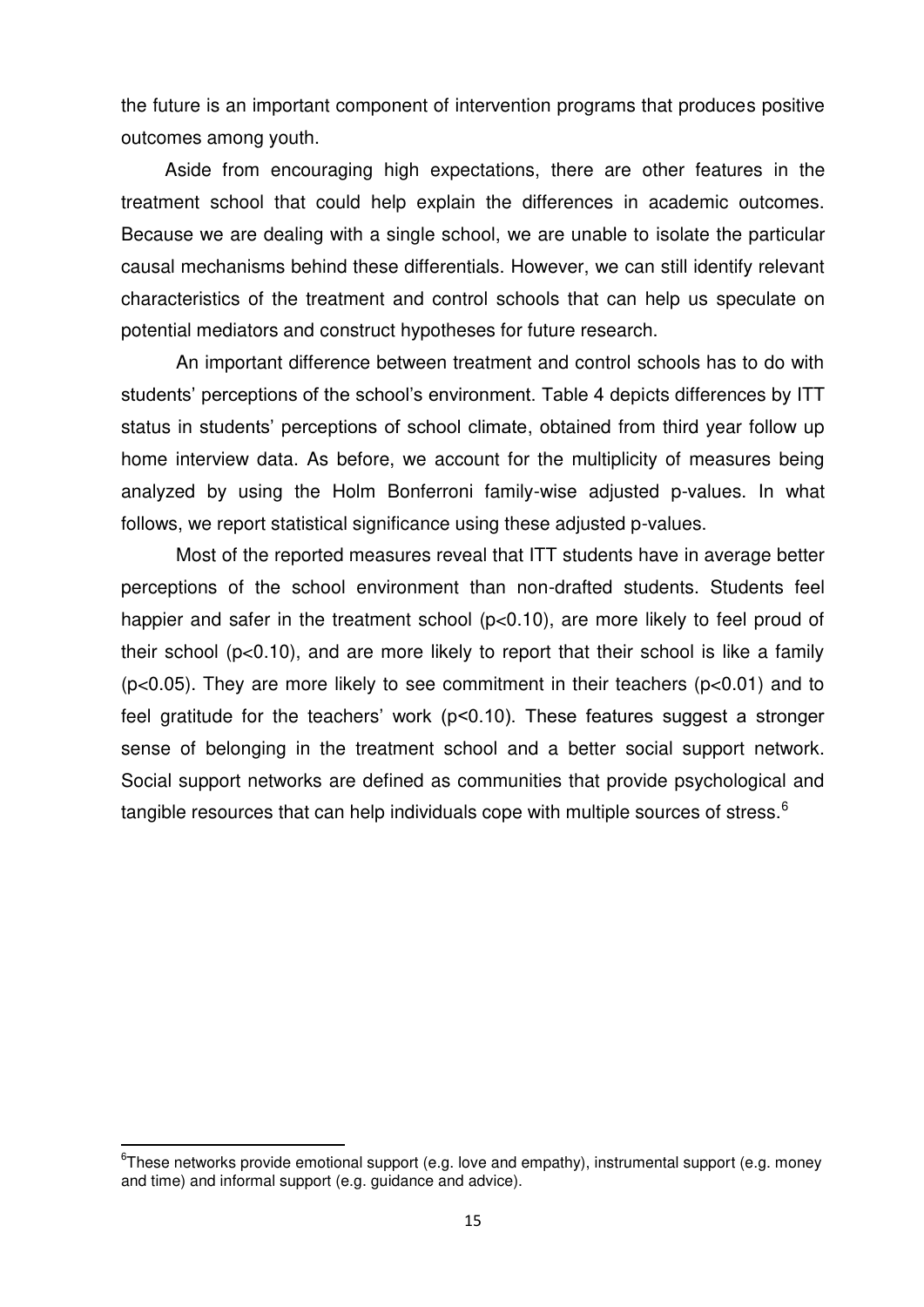the future is an important component of intervention programs that produces positive outcomes among youth.

Aside from encouraging high expectations, there are other features in the treatment school that could help explain the differences in academic outcomes. Because we are dealing with a single school, we are unable to isolate the particular causal mechanisms behind these differentials. However, we can still identify relevant characteristics of the treatment and control schools that can help us speculate on potential mediators and construct hypotheses for future research.

An important difference between treatment and control schools has to do with students' perceptions of the school's environment. Table 4 depicts differences by ITT status in students' perceptions of school climate, obtained from third year follow up home interview data. As before, we account for the multiplicity of measures being analyzed by using the Holm Bonferroni family-wise adjusted p-values. In what follows, we report statistical significance using these adjusted p-values.

Most of the reported measures reveal that ITT students have in average better perceptions of the school environment than non-drafted students. Students feel happier and safer in the treatment school (p<0.10), are more likely to feel proud of their school ( $p<0.10$ ), and are more likely to report that their school is like a family (p<0.05). They are more likely to see commitment in their teachers (p<0.01) and to feel gratitude for the teachers' work (p<0.10). These features suggest a stronger sense of belonging in the treatment school and a better social support network. Social support networks are defined as communities that provide psychological and tangible resources that can help individuals cope with multiple sources of stress.<sup>6</sup>

 ${}^{6}$ These networks provide emotional support (e.g. love and empathy), instrumental support (e.g. money and time) and informal support (e.g. guidance and advice).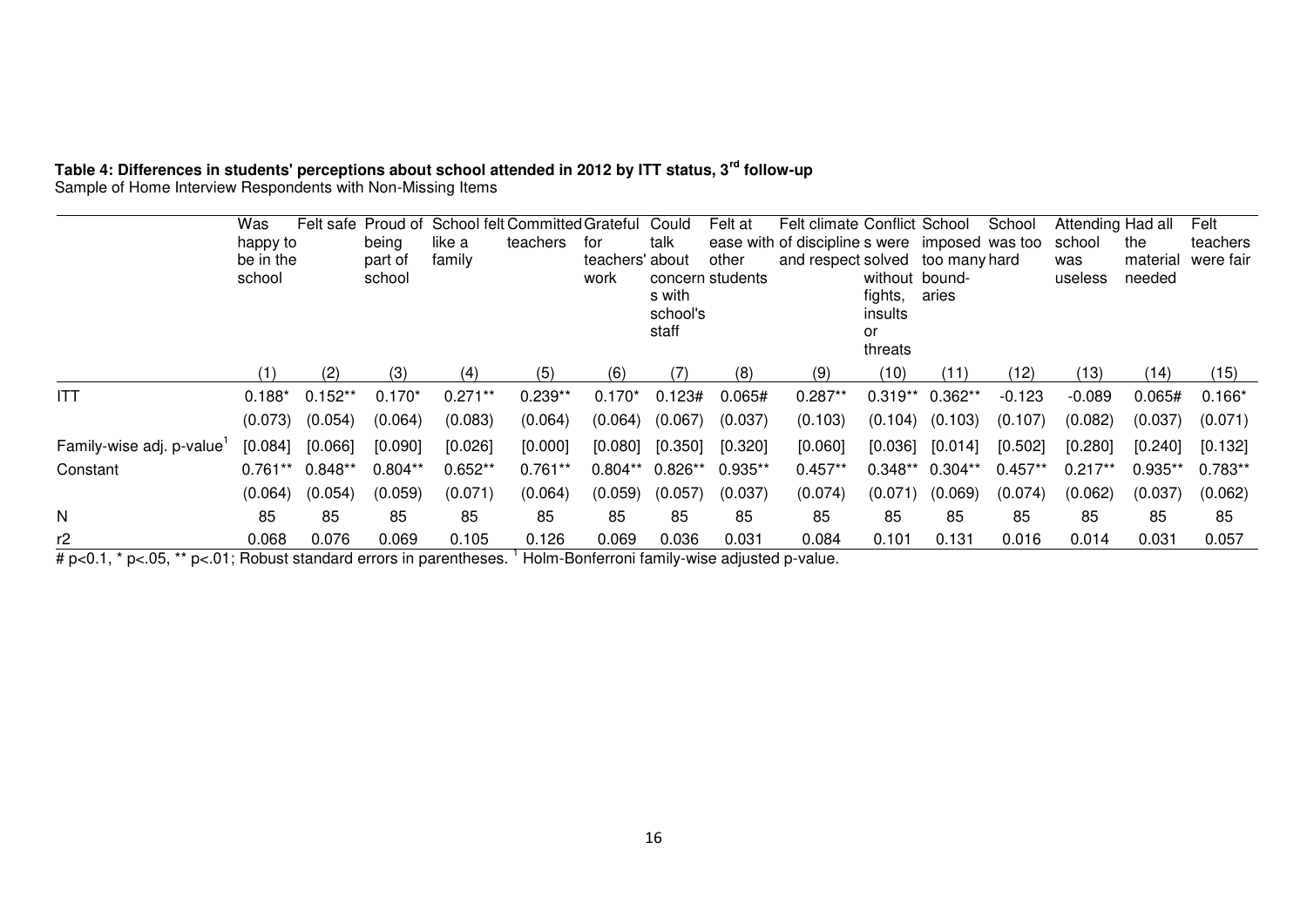## **Table 4: Differences in students' perceptions about school attended in 2012 by ITT status, 3rd follow-up**

Sample of Home Interview Respondents with Non-Missing Items

|                          | Was<br>happy to<br>be in the<br>school | Felt safe | being<br>part of<br>school | like a<br>family | Proud of School felt Committed Grateful<br>teachers | for<br>teachers' about<br>work | Could<br>talk<br>s with<br>school's<br>staff | Felt at<br>other<br>concern students | Felt climate Conflict School<br>ease with of discipline s were imposed was too<br>and respect solved too many hard | fights,<br>insults<br>or<br>threats | without bound-<br>aries | School    | Attending Had all<br>school<br>was<br>useless | the<br>material<br>needed | Felt<br>teachers<br>were fair |
|--------------------------|----------------------------------------|-----------|----------------------------|------------------|-----------------------------------------------------|--------------------------------|----------------------------------------------|--------------------------------------|--------------------------------------------------------------------------------------------------------------------|-------------------------------------|-------------------------|-----------|-----------------------------------------------|---------------------------|-------------------------------|
|                          |                                        | (2)       | (3)                        | (4)              | (5)                                                 | (6)                            |                                              | (8)                                  | (9)                                                                                                                | (10)                                | (11)                    | (12)      | (13)                                          | (14)                      | (15)                          |
| <b>ITT</b>               | $0.188*$                               | $0.152**$ | $0.170*$                   | $0.271**$        | $0.239**$                                           | $0.170*$                       | 0.123#                                       | 0.065#                               | $0.287**$                                                                                                          | $0.319**$                           | $0.362**$               | $-0.123$  | $-0.089$                                      | 0.065#                    | $0.166*$                      |
|                          | (0.073)                                | (0.054)   | (0.064)                    | (0.083)          | (0.064)                                             | (0.064)                        | (0.067)                                      | (0.037)                              | (0.103)                                                                                                            | (0.104)                             | (0.103)                 | (0.107)   | (0.082)                                       | (0.037)                   | (0.071)                       |
| Family-wise adj. p-value | [0.084]                                | [0.066]   | [0.090]                    | [0.026]          | [0.000]                                             | [0.080]                        | [0.350]                                      | [0.320]                              | [0.060]                                                                                                            | [0.036]                             | [0.014]                 | [0.502]   | [0.280]                                       | [0.240]                   | [0.132]                       |
| Constant                 | $0.761**$                              | $0.848**$ | $0.804**$                  | $0.652**$        | $0.761**$                                           | $0.804**$                      | $0.826**$                                    | $0.935**$                            | $0.457**$                                                                                                          |                                     | $0.348**$ 0.304**       | $0.457**$ | $0.217**$                                     | $0.935**$                 | $0.783**$                     |
|                          | (0.064)                                | (0.054)   | (0.059)                    | (0.071)          | (0.064)                                             | (0.059)                        | (0.057)                                      | (0.037)                              | (0.074)                                                                                                            | (0.071)                             | (0.069)                 | (0.074)   | (0.062)                                       | (0.037)                   | (0.062)                       |
| N                        | 85                                     | 85        | 85                         | 85               | 85                                                  | 85                             | 85                                           | 85                                   | 85                                                                                                                 | 85                                  | 85                      | 85        | 85                                            | 85                        | 85                            |
| r2                       | 0.068                                  | 0.076     | 0.069                      | 0.105            | 0.126                                               | 0.069                          | 0.036                                        | 0.031                                | 0.084                                                                                                              | 0.101                               | 0.131                   | 0.016     | 0.014                                         | 0.031                     | 0.057                         |

# p<0.1, \* p<.05, \*\* p<.01; Robust standard errors in parentheses. <sup>1</sup> Holm-Bonferroni family-wise adjusted p-value.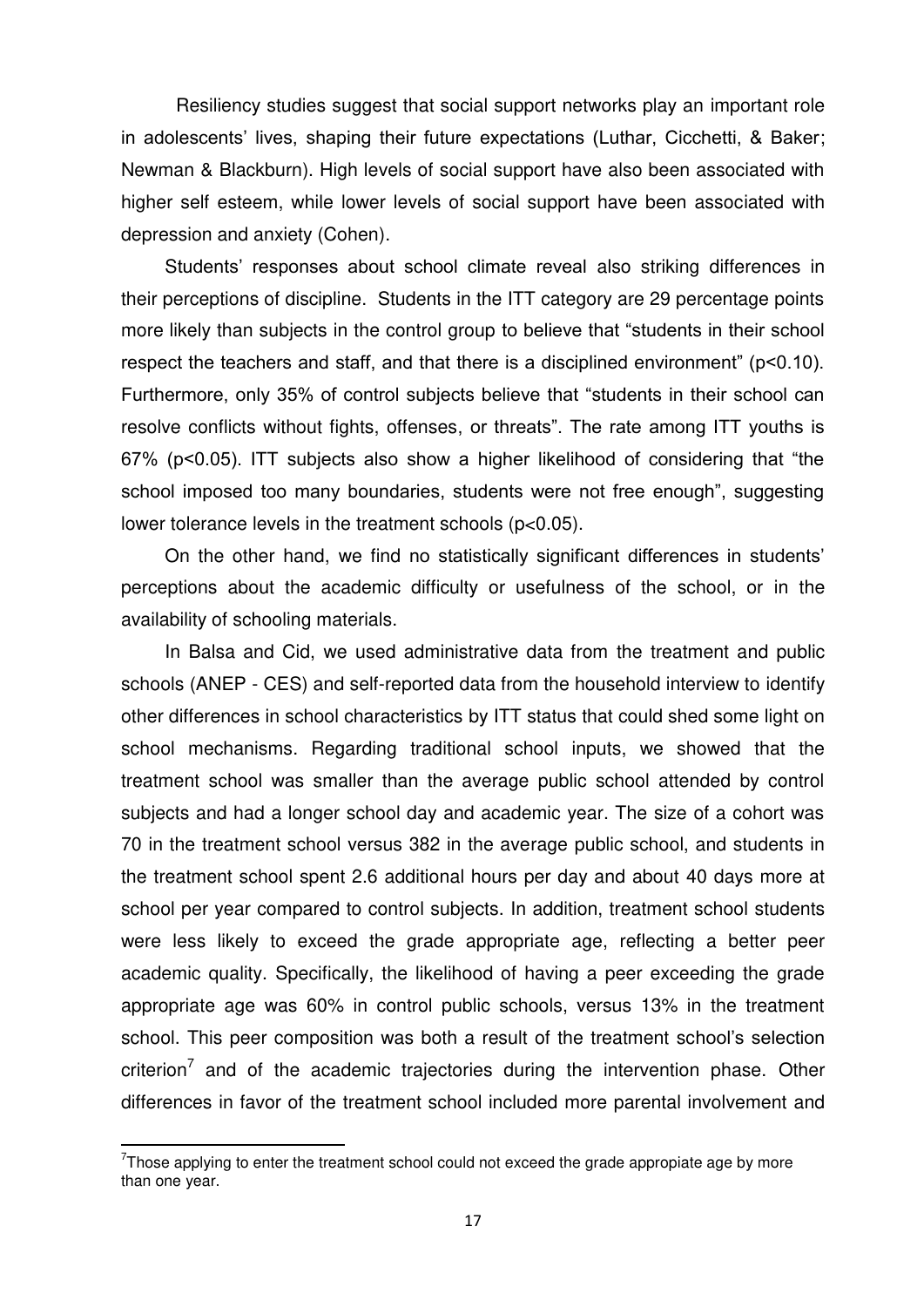Resiliency studies suggest that social support networks play an important role in adolescents' lives, shaping their future expectations (Luthar, Cicchetti, & Baker; Newman & Blackburn). High levels of social support have also been associated with higher self esteem, while lower levels of social support have been associated with depression and anxiety (Cohen).

Students' responses about school climate reveal also striking differences in their perceptions of discipline. Students in the ITT category are 29 percentage points more likely than subjects in the control group to believe that "students in their school respect the teachers and staff, and that there is a disciplined environment" (p<0.10). Furthermore, only 35% of control subjects believe that "students in their school can resolve conflicts without fights, offenses, or threats". The rate among ITT youths is 67% (p<0.05). ITT subjects also show a higher likelihood of considering that "the school imposed too many boundaries, students were not free enough", suggesting lower tolerance levels in the treatment schools (p<0.05).

On the other hand, we find no statistically significant differences in students' perceptions about the academic difficulty or usefulness of the school, or in the availability of schooling materials.

In Balsa and Cid, we used administrative data from the treatment and public schools (ANEP - CES) and self-reported data from the household interview to identify other differences in school characteristics by ITT status that could shed some light on school mechanisms. Regarding traditional school inputs, we showed that the treatment school was smaller than the average public school attended by control subjects and had a longer school day and academic year. The size of a cohort was 70 in the treatment school versus 382 in the average public school, and students in the treatment school spent 2.6 additional hours per day and about 40 days more at school per year compared to control subjects. In addition, treatment school students were less likely to exceed the grade appropriate age, reflecting a better peer academic quality. Specifically, the likelihood of having a peer exceeding the grade appropriate age was 60% in control public schools, versus 13% in the treatment school. This peer composition was both a result of the treatment school's selection criterion<sup>7</sup> and of the academic trajectories during the intervention phase. Other differences in favor of the treatment school included more parental involvement and

 $7$ Those applying to enter the treatment school could not exceed the grade appropiate age by more than one year.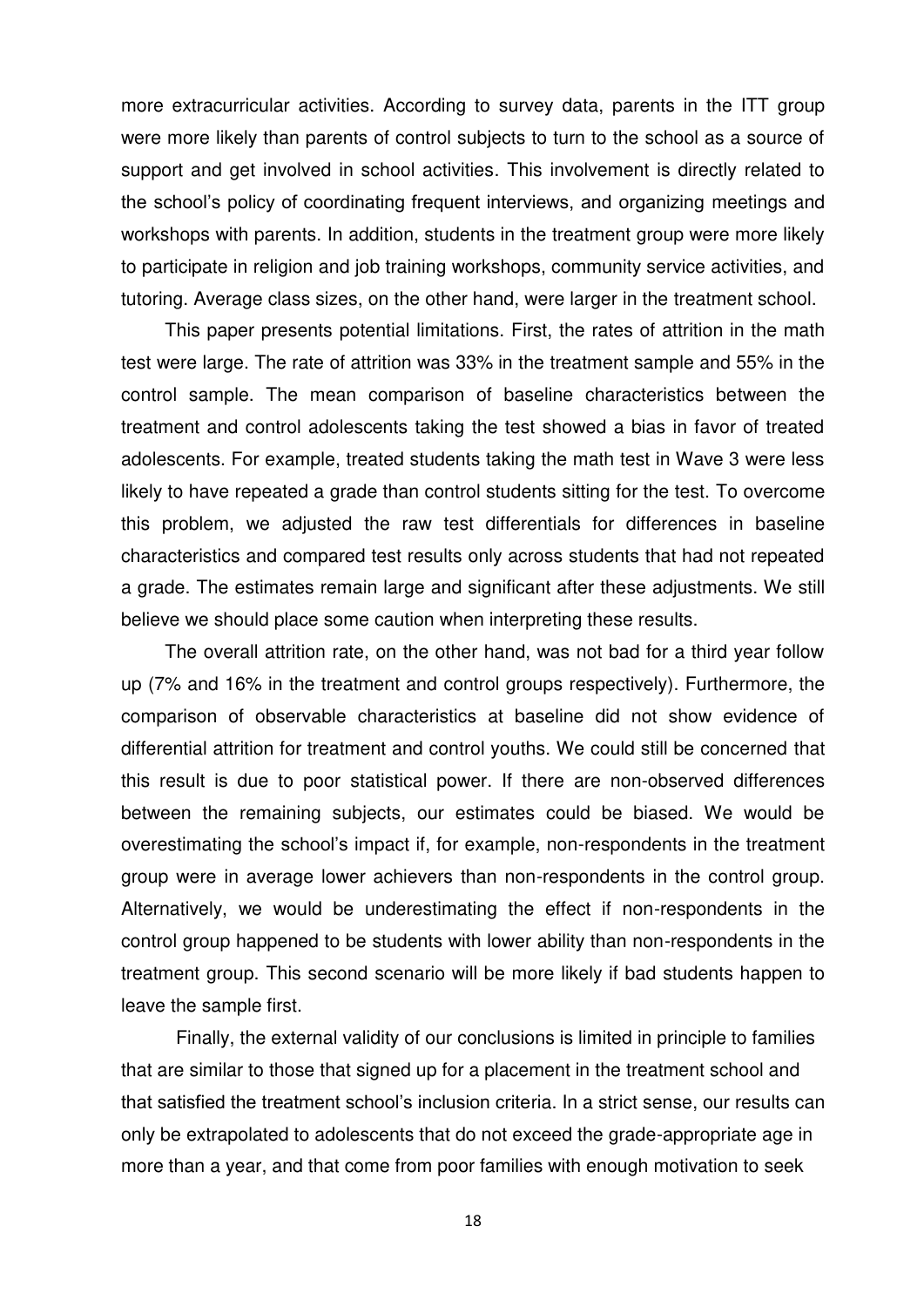more extracurricular activities. According to survey data, parents in the ITT group were more likely than parents of control subjects to turn to the school as a source of support and get involved in school activities. This involvement is directly related to the school's policy of coordinating frequent interviews, and organizing meetings and workshops with parents. In addition, students in the treatment group were more likely to participate in religion and job training workshops, community service activities, and tutoring. Average class sizes, on the other hand, were larger in the treatment school.

This paper presents potential limitations. First, the rates of attrition in the math test were large. The rate of attrition was 33% in the treatment sample and 55% in the control sample. The mean comparison of baseline characteristics between the treatment and control adolescents taking the test showed a bias in favor of treated adolescents. For example, treated students taking the math test in Wave 3 were less likely to have repeated a grade than control students sitting for the test. To overcome this problem, we adjusted the raw test differentials for differences in baseline characteristics and compared test results only across students that had not repeated a grade. The estimates remain large and significant after these adjustments. We still believe we should place some caution when interpreting these results.

The overall attrition rate, on the other hand, was not bad for a third year follow up (7% and 16% in the treatment and control groups respectively). Furthermore, the comparison of observable characteristics at baseline did not show evidence of differential attrition for treatment and control youths. We could still be concerned that this result is due to poor statistical power. If there are non-observed differences between the remaining subjects, our estimates could be biased. We would be overestimating the school's impact if, for example, non-respondents in the treatment group were in average lower achievers than non-respondents in the control group. Alternatively, we would be underestimating the effect if non-respondents in the control group happened to be students with lower ability than non-respondents in the treatment group. This second scenario will be more likely if bad students happen to leave the sample first.

Finally, the external validity of our conclusions is limited in principle to families that are similar to those that signed up for a placement in the treatment school and that satisfied the treatment school's inclusion criteria. In a strict sense, our results can only be extrapolated to adolescents that do not exceed the grade-appropriate age in more than a year, and that come from poor families with enough motivation to seek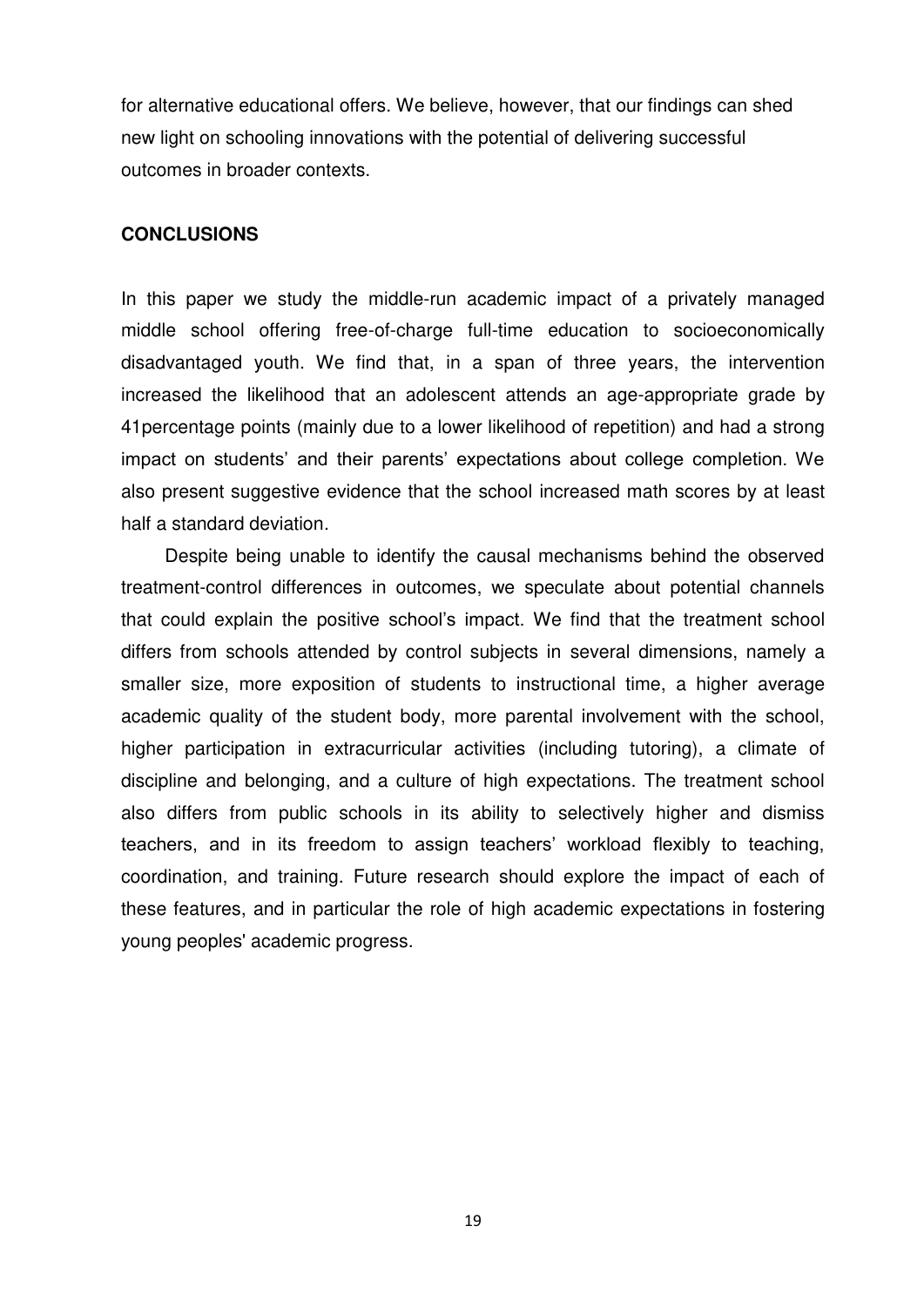for alternative educational offers. We believe, however, that our findings can shed new light on schooling innovations with the potential of delivering successful outcomes in broader contexts.

#### **CONCLUSIONS**

In this paper we study the middle-run academic impact of a privately managed middle school offering free-of-charge full-time education to socioeconomically disadvantaged youth. We find that, in a span of three years, the intervention increased the likelihood that an adolescent attends an age-appropriate grade by 41percentage points (mainly due to a lower likelihood of repetition) and had a strong impact on students' and their parents' expectations about college completion. We also present suggestive evidence that the school increased math scores by at least half a standard deviation.

Despite being unable to identify the causal mechanisms behind the observed treatment-control differences in outcomes, we speculate about potential channels that could explain the positive school's impact. We find that the treatment school differs from schools attended by control subjects in several dimensions, namely a smaller size, more exposition of students to instructional time, a higher average academic quality of the student body, more parental involvement with the school, higher participation in extracurricular activities (including tutoring), a climate of discipline and belonging, and a culture of high expectations. The treatment school also differs from public schools in its ability to selectively higher and dismiss teachers, and in its freedom to assign teachers' workload flexibly to teaching, coordination, and training. Future research should explore the impact of each of these features, and in particular the role of high academic expectations in fostering young peoples' academic progress.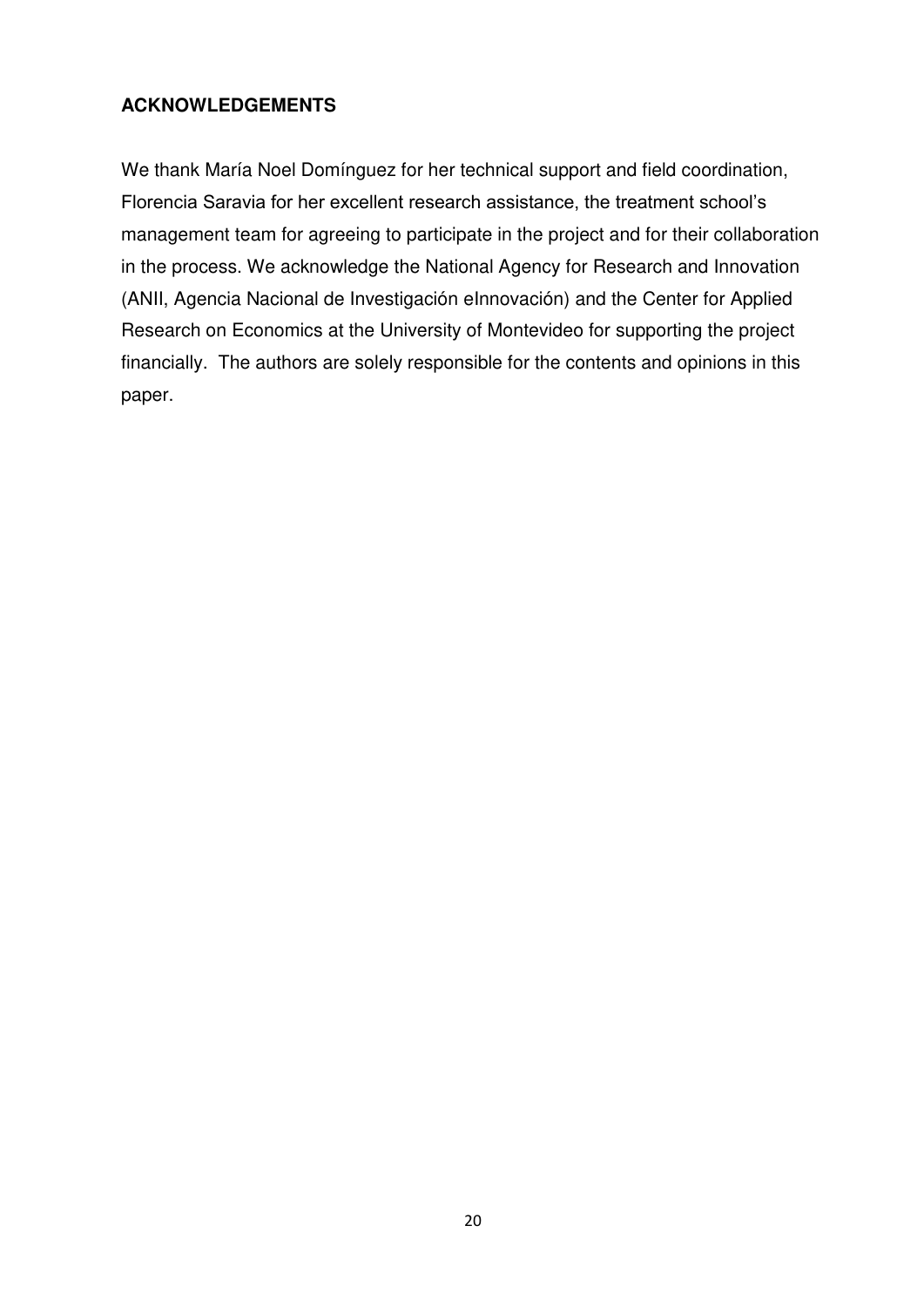## **ACKNOWLEDGEMENTS**

We thank María Noel Domínguez for her technical support and field coordination, Florencia Saravia for her excellent research assistance, the treatment school's management team for agreeing to participate in the project and for their collaboration in the process. We acknowledge the National Agency for Research and Innovation (ANII, Agencia Nacional de Investigación eInnovación) and the Center for Applied Research on Economics at the University of Montevideo for supporting the project financially. The authors are solely responsible for the contents and opinions in this paper.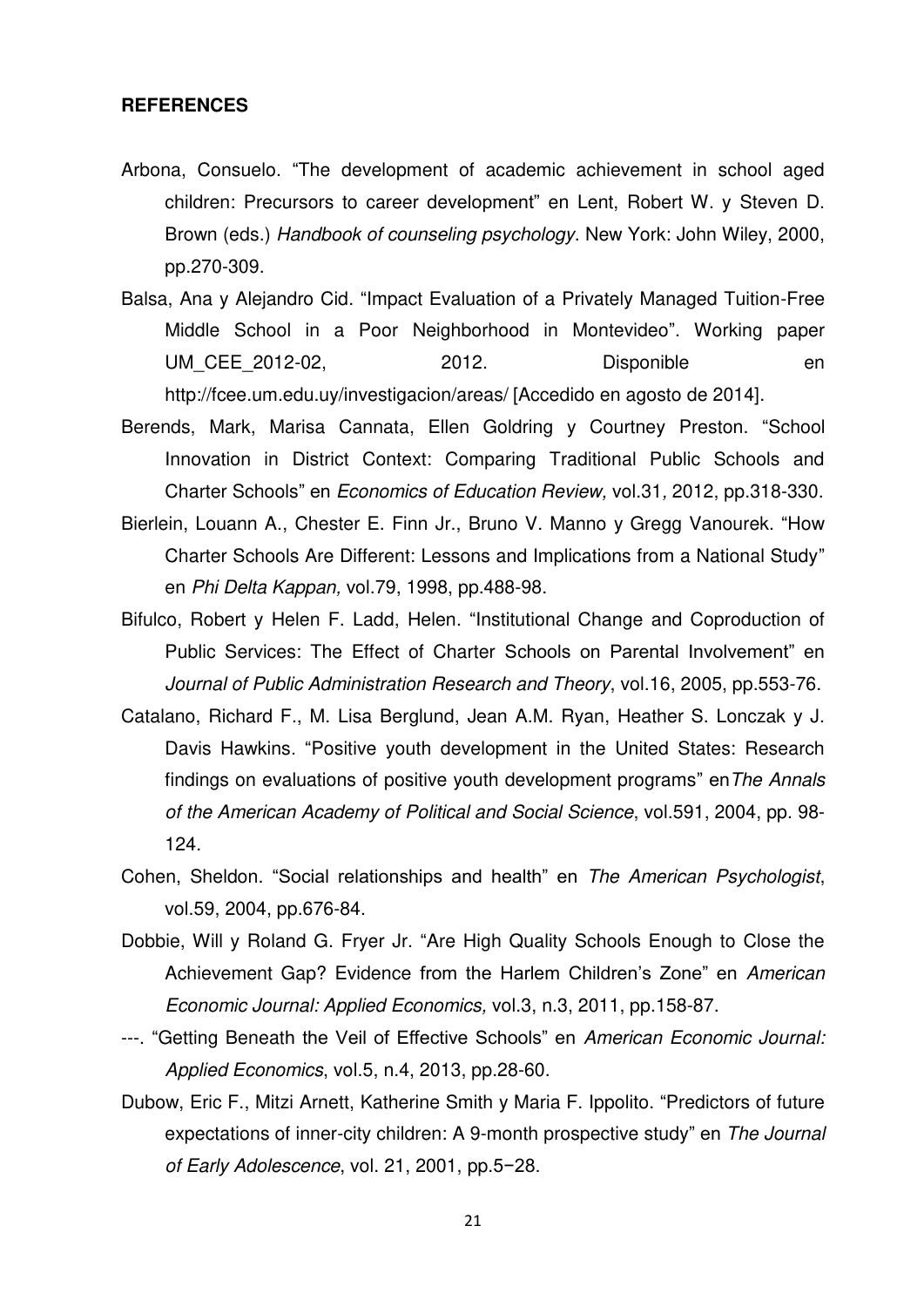#### **REFERENCES**

- Arbona, Consuelo. "The development of academic achievement in school aged children: Precursors to career development" en Lent, Robert W. y Steven D. Brown (eds.) *Handbook of counseling psychology*. New York: John Wiley, 2000, pp.270-309.
- Balsa, Ana y Alejandro Cid. "Impact Evaluation of a Privately Managed Tuition-Free Middle School in a Poor Neighborhood in Montevideo". Working paper UM CEE 2012-02, 2012. Disponible en <http://fcee.um.edu.uy/investigacion/areas/> [Accedido en agosto de 2014].
- Berends, Mark, Marisa Cannata, Ellen Goldring y Courtney Preston. "[School](http://www.sciencedirect.com/science/article/pii/S027277571100135X)  [Innovation in District Context: Comparing Traditional Public Schools and](http://www.sciencedirect.com/science/article/pii/S027277571100135X)  [Charter Schools](http://www.sciencedirect.com/science/article/pii/S027277571100135X)" en *Economics of Education Review,* vol.31*,* 2012, pp.318-330.
- Bierlein, Louann A., Chester E. Finn Jr., Bruno V. Manno y Gregg Vanourek. "How Charter Schools Are Different: Lessons and Implications from a National Study" en *Phi Delta Kappan,* vol.79, 1998, pp.488-98.
- Bifulco, Robert y Helen F. Ladd, Helen. "Institutional Change and Coproduction of Public Services: The Effect of Charter Schools on Parental Involvement" en *Journal of Public Administration Research and Theory*, vol.16, 2005, pp.553-76.
- Catalano, Richard F., M. Lisa Berglund, Jean A.M. Ryan, Heather S. Lonczak y J. Davis Hawkins. "Positive youth development in the United States: Research findings on evaluations of positive youth development programs" en*The Annals of the American Academy of Political and Social Science*, vol.591, 2004, pp. 98- 124.
- Cohen, Sheldon. "Social relationships and health" en *The American Psychologist*, vol.59, 2004, pp.676-84.
- Dobbie, Will y Roland G. Fryer Jr. "Are High Quality Schools Enough to Close the Achievement Gap? Evidence from the Harlem Children's Zone" en *American Economic Journal: Applied Economics,* vol.3, n.3, 2011, pp.158-87.
- ---. "Getting Beneath the Veil of Effective Schools" en *American Economic Journal: Applied Economics*, vol.5, n.4, 2013, pp.28-60.
- Dubow, Eric F., Mitzi Arnett, Katherine Smith y Maria F. Ippolito. "Predictors of future expectations of inner-city children: A 9-month prospective study" en *The Journal of Early Adolescence*, vol. 21, 2001, pp.5−28.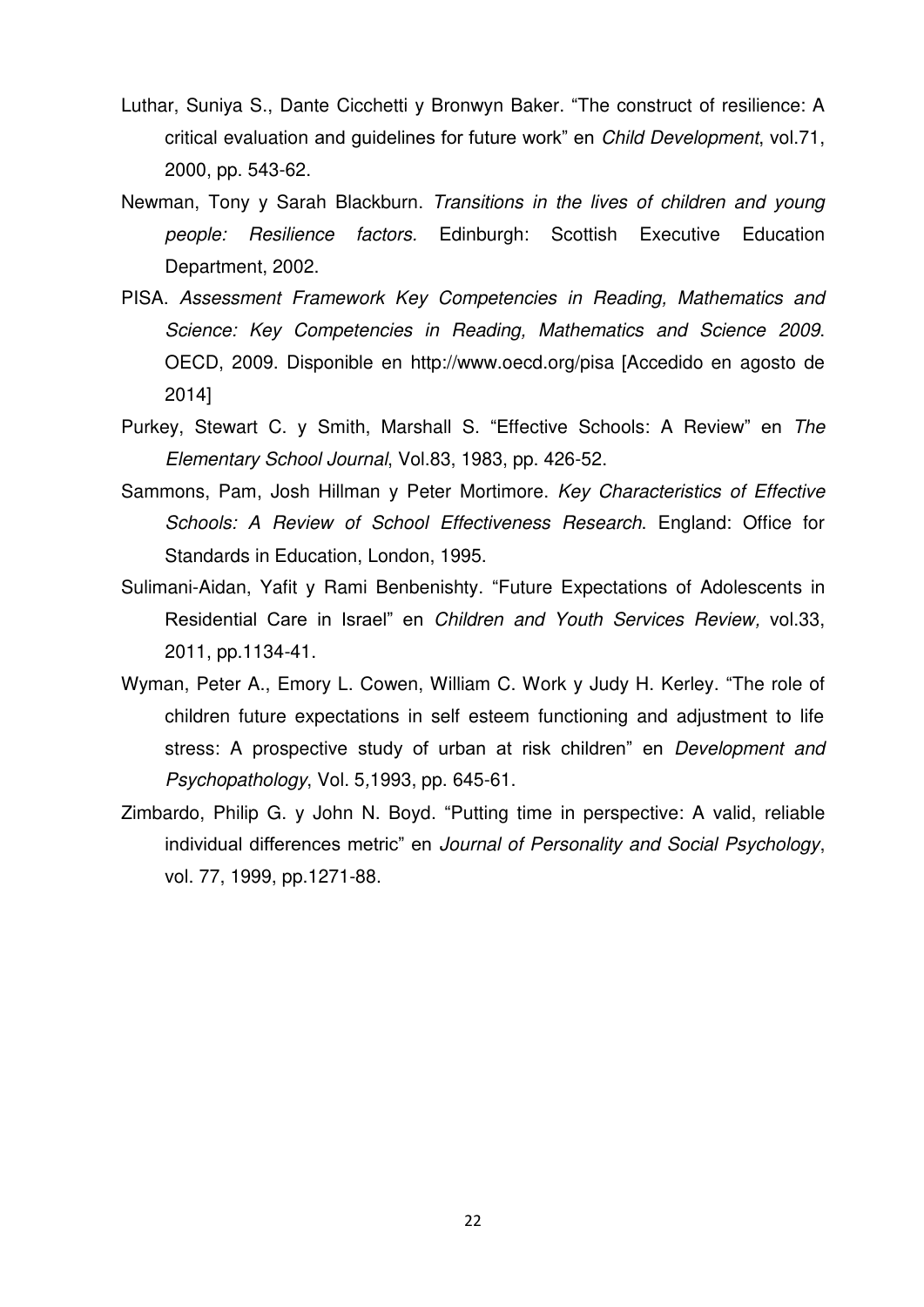- Luthar, Suniya S., Dante Cicchetti y Bronwyn Baker. "The construct of resilience: A critical evaluation and guidelines for future work" en *Child Development*, vol.71, 2000, pp. 543-62.
- Newman, Tony y Sarah Blackburn. *Transitions in the lives of children and young people: Resilience factors.* Edinburgh: Scottish Executive Education Department, 2002.
- PISA. *Assessment Framework Key Competencies in Reading, Mathematics and Science: Key Competencies in Reading, Mathematics and Science 2009*. OECD, 2009. Disponible en<http://www.oecd.org/pisa> [Accedido en agosto de 2014]
- Purkey, Stewart C. y Smith, Marshall S. "Effective Schools: A Review" en *The Elementary School Journal*, Vol.83, 1983, pp. 426-52.
- Sammons, Pam, Josh Hillman y Peter Mortimore. *Key Characteristics of Effective Schools: A Review of School Effectiveness Research*. England: Office for Standards in Education, London, 1995.
- Sulimani-Aidan, Yafit y Rami Benbenishty. "Future Expectations of Adolescents in Residential Care in Israel" en *Children and Youth Services Review,* vol.33, 2011, pp.1134-41.
- Wyman, Peter A., Emory L. Cowen, William C. Work y Judy H. Kerley. "The role of children future expectations in self esteem functioning and adjustment to life stress: A prospective study of urban at risk children" en *Development and Psychopathology*, Vol. 5*,*1993, pp. 645-61.
- Zimbardo, Philip G. y John N. Boyd. "Putting time in perspective: A valid, reliable individual differences metric" en *Journal of Personality and Social Psychology*, vol. 77, 1999, pp.1271-88.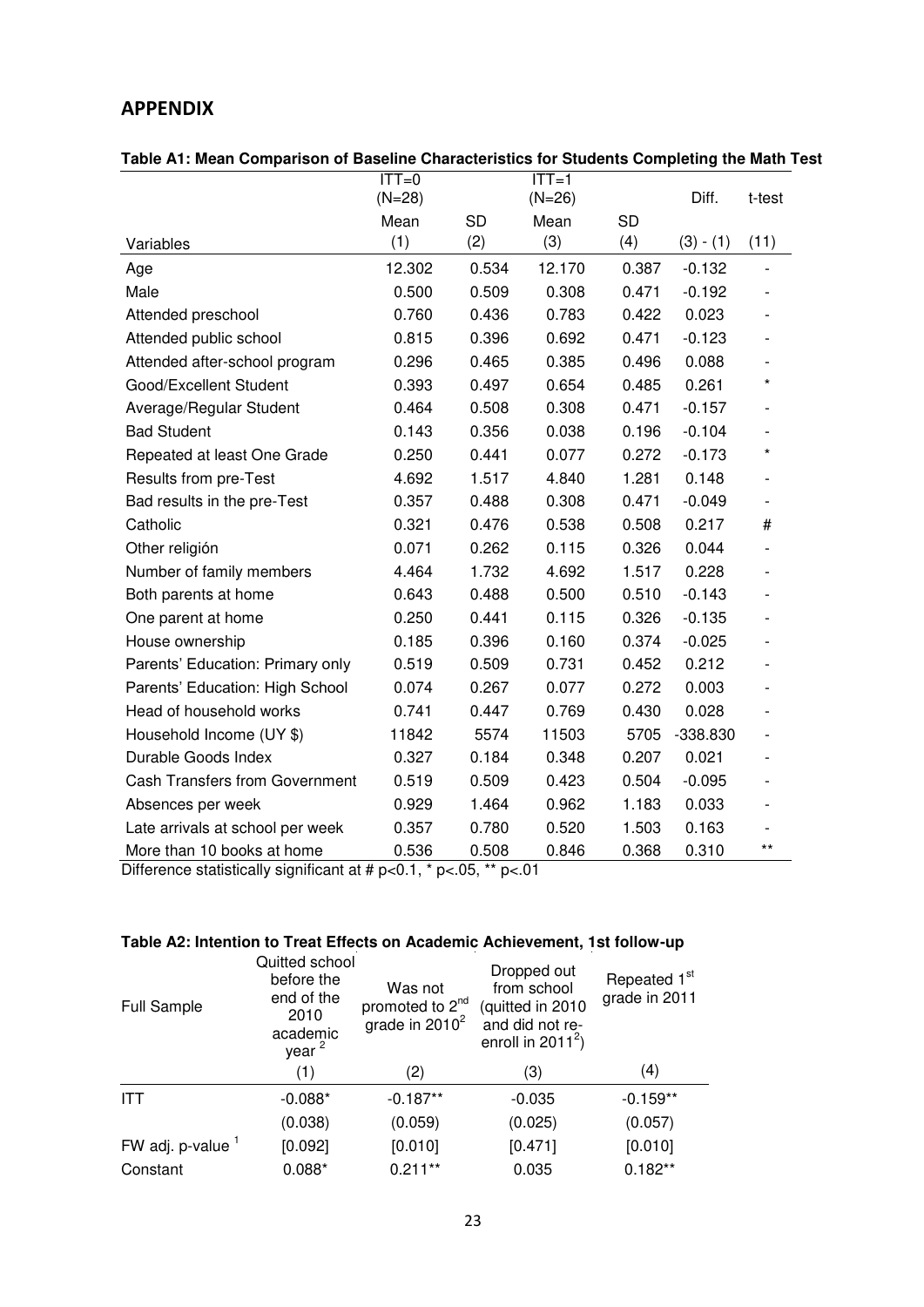# **APPENDIX**

| Table A1: Mean Comparison of Baseline Characteristics for Students Completing the Math Test |  |  |
|---------------------------------------------------------------------------------------------|--|--|
|                                                                                             |  |  |

|                                       | $ITT=0$<br>$(N=28)$ |           | $ITT=1$<br>$(N=26)$ |           | Diff.       | t-test                       |
|---------------------------------------|---------------------|-----------|---------------------|-----------|-------------|------------------------------|
|                                       | Mean                | <b>SD</b> | Mean                | <b>SD</b> |             |                              |
| Variables                             | (1)                 | (2)       | (3)                 | (4)       | $(3) - (1)$ | (11)                         |
| Age                                   | 12.302              | 0.534     | 12.170              | 0.387     | $-0.132$    |                              |
| Male                                  | 0.500               | 0.509     | 0.308               | 0.471     | $-0.192$    |                              |
| Attended preschool                    | 0.760               | 0.436     | 0.783               | 0.422     | 0.023       |                              |
| Attended public school                | 0.815               | 0.396     | 0.692               | 0.471     | $-0.123$    |                              |
| Attended after-school program         | 0.296               | 0.465     | 0.385               | 0.496     | 0.088       |                              |
| Good/Excellent Student                | 0.393               | 0.497     | 0.654               | 0.485     | 0.261       | $\star$                      |
| Average/Regular Student               | 0.464               | 0.508     | 0.308               | 0.471     | $-0.157$    |                              |
| <b>Bad Student</b>                    | 0.143               | 0.356     | 0.038               | 0.196     | $-0.104$    |                              |
| Repeated at least One Grade           | 0.250               | 0.441     | 0.077               | 0.272     | $-0.173$    | $\star$                      |
| Results from pre-Test                 | 4.692               | 1.517     | 4.840               | 1.281     | 0.148       |                              |
| Bad results in the pre-Test           | 0.357               | 0.488     | 0.308               | 0.471     | $-0.049$    |                              |
| Catholic                              | 0.321               | 0.476     | 0.538               | 0.508     | 0.217       | $\#$                         |
| Other religión                        | 0.071               | 0.262     | 0.115               | 0.326     | 0.044       | $\overline{\phantom{0}}$     |
| Number of family members              | 4.464               | 1.732     | 4.692               | 1.517     | 0.228       |                              |
| Both parents at home                  | 0.643               | 0.488     | 0.500               | 0.510     | $-0.143$    | $\qquad \qquad \blacksquare$ |
| One parent at home                    | 0.250               | 0.441     | 0.115               | 0.326     | $-0.135$    | $\overline{a}$               |
| House ownership                       | 0.185               | 0.396     | 0.160               | 0.374     | $-0.025$    | $\qquad \qquad \blacksquare$ |
| Parents' Education: Primary only      | 0.519               | 0.509     | 0.731               | 0.452     | 0.212       | $\overline{\phantom{0}}$     |
| Parents' Education: High School       | 0.074               | 0.267     | 0.077               | 0.272     | 0.003       | $\overline{\phantom{0}}$     |
| Head of household works               | 0.741               | 0.447     | 0.769               | 0.430     | 0.028       | $\overline{a}$               |
| Household Income (UY \$)              | 11842               | 5574      | 11503               | 5705      | $-338.830$  | $\overline{a}$               |
| Durable Goods Index                   | 0.327               | 0.184     | 0.348               | 0.207     | 0.021       |                              |
| <b>Cash Transfers from Government</b> | 0.519               | 0.509     | 0.423               | 0.504     | $-0.095$    | $\overline{a}$               |
| Absences per week                     | 0.929               | 1.464     | 0.962               | 1.183     | 0.033       |                              |
| Late arrivals at school per week      | 0.357               | 0.780     | 0.520               | 1.503     | 0.163       |                              |
| More than 10 books at home            | 0.536               | 0.508     | 0.846               | 0.368     | 0.310       | $***$                        |

Difference statistically significant at #  $p<0.1$ , \*  $p<0.5$ , \*\*  $p<01$ 

#### **Table A2: Intention to Treat Effects on Academic Achievement, 1st follow-up**

| <b>Full Sample</b> | Quitted school<br>before the<br>end of the<br>2010<br>academic<br>year <sup>2</sup> | Was not<br>promoted to 2 <sup>nd</sup><br>grade in $2010^2$ | Dropped out<br>from school<br>(quitted in 2010<br>and did not re-<br>enroll in $2011^2$ ) | Repeated 1 <sup>st</sup><br>grade in 2011 |
|--------------------|-------------------------------------------------------------------------------------|-------------------------------------------------------------|-------------------------------------------------------------------------------------------|-------------------------------------------|
|                    | (1)                                                                                 | (2)                                                         | (3)                                                                                       | (4)                                       |
| <b>ITT</b>         | $-0.088*$                                                                           | $-0.187**$                                                  | $-0.035$                                                                                  | $-0.159**$                                |
|                    | (0.038)                                                                             | (0.059)                                                     | (0.025)                                                                                   | (0.057)                                   |
| FW adj. p-value 1  | [0.092]                                                                             | [0.010]                                                     | [0.471]                                                                                   | [0.010]                                   |
| Constant           | $0.088*$                                                                            | $0.211**$                                                   | 0.035                                                                                     | $0.182**$                                 |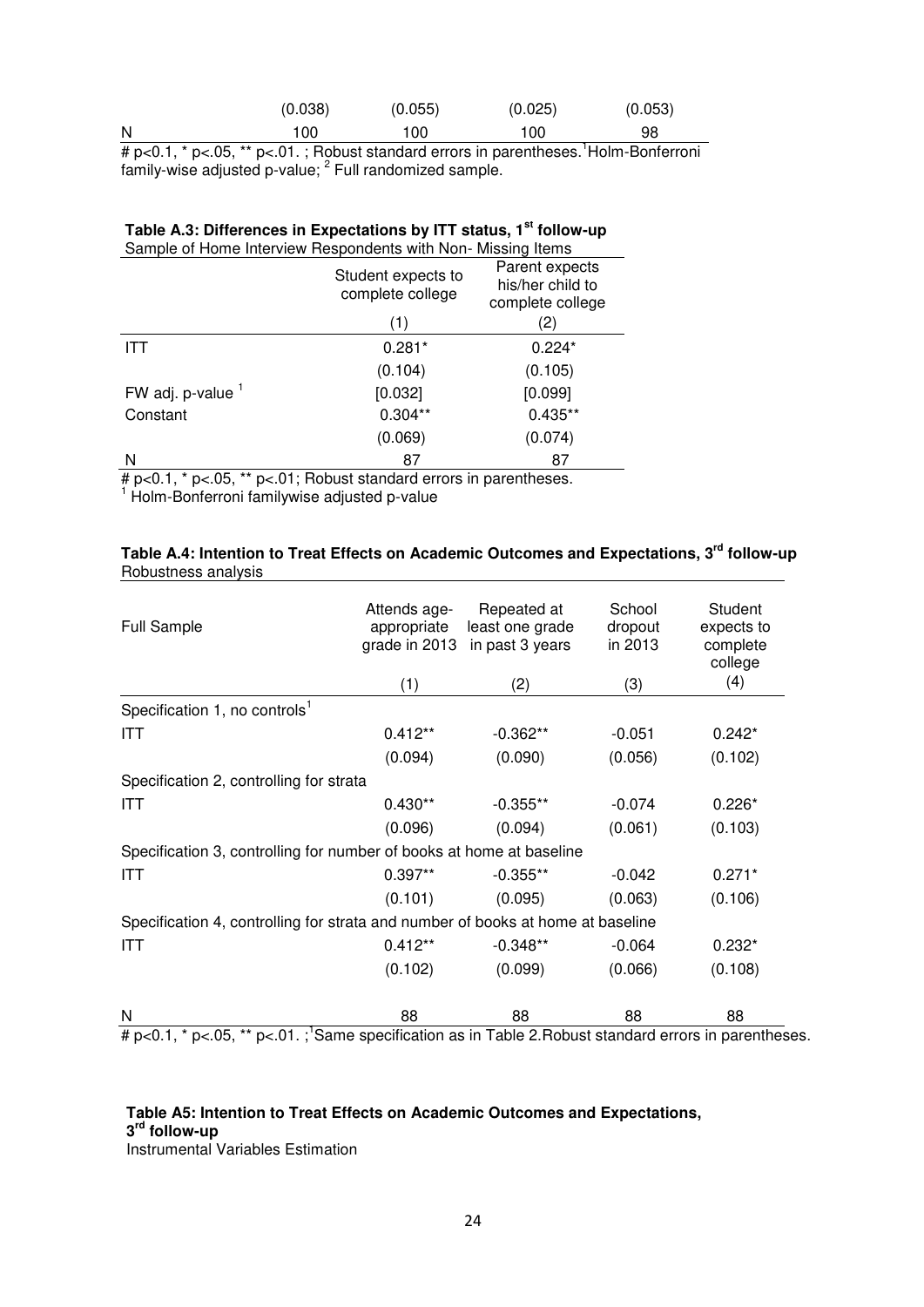| $\cdots$ | . | $\sim$ $ -$ | $\sim$ $\cdot$<br>- - |         |         | .<br>$\overline{\phantom{0}}$ |
|----------|---|-------------|-----------------------|---------|---------|-------------------------------|
| N        |   |             | 100                   | 100     | 100     | 98                            |
|          |   |             | (0.038)               | (0.055) | (0.025) | (0.053)                       |

# p<0.1, \* p<.05, \*\* p<.01. ; Robust standard errors in parentheses. <sup>1</sup>Holm-Bonferroni family-wise adjusted p-value; <sup>2</sup> Full randomized sample.

| Table A.3: Differences in Expectations by ITT status, 1 <sup>st</sup> follow-up |
|---------------------------------------------------------------------------------|
| Sample of Home Interview Respondents with Non-Missing Items                     |

|                   | Student expects to<br>complete college | Parent expects<br>his/her child to<br>complete college |  |
|-------------------|----------------------------------------|--------------------------------------------------------|--|
|                   | (1)                                    | (2)                                                    |  |
| ITT               | $0.281*$                               | $0.224*$                                               |  |
|                   | (0.104)                                | (0.105)                                                |  |
| FW adj. p-value 1 | [0.032]                                | [0.099]                                                |  |
| Constant          | $0.304**$                              | $0.435**$                                              |  |
|                   | (0.069)                                | (0.074)                                                |  |
| N                 | 87                                     | 87                                                     |  |

# p<0.1, \* p<.05, \*\* p<.01; Robust standard errors in parentheses. 1 Holm-Bonferroni familywise adjusted p-value

| Table A.4: Intention to Treat Effects on Academic Outcomes and Expectations, 3 <sup>rd</sup> follow-up |  |  |
|--------------------------------------------------------------------------------------------------------|--|--|
| Robustness analysis                                                                                    |  |  |

| <b>Full Sample</b>                                                              | Attends age-<br>appropriate<br>grade in 2013<br>(1) | Repeated at<br>least one grade<br>in past 3 years<br>(2) | School<br>dropout<br>in 2013<br>(3) | Student<br>expects to<br>complete<br>college<br>(4) |
|---------------------------------------------------------------------------------|-----------------------------------------------------|----------------------------------------------------------|-------------------------------------|-----------------------------------------------------|
| Specification 1, no controls <sup>1</sup>                                       |                                                     |                                                          |                                     |                                                     |
|                                                                                 |                                                     |                                                          |                                     |                                                     |
| <b>ITT</b>                                                                      | $0.412**$                                           | $-0.362**$                                               | $-0.051$                            | $0.242*$                                            |
|                                                                                 | (0.094)                                             | (0.090)                                                  | (0.056)                             | (0.102)                                             |
| Specification 2, controlling for strata                                         |                                                     |                                                          |                                     |                                                     |
| <b>ITT</b>                                                                      | $0.430**$                                           | $-0.355**$                                               | $-0.074$                            | $0.226*$                                            |
|                                                                                 | (0.096)                                             | (0.094)                                                  | (0.061)                             | (0.103)                                             |
| Specification 3, controlling for number of books at home at baseline            |                                                     |                                                          |                                     |                                                     |
| <b>ITT</b>                                                                      | $0.397**$                                           | $-0.355**$                                               | $-0.042$                            | $0.271*$                                            |
|                                                                                 | (0.101)                                             | (0.095)                                                  | (0.063)                             | (0.106)                                             |
| Specification 4, controlling for strata and number of books at home at baseline |                                                     |                                                          |                                     |                                                     |
| ITT                                                                             | $0.412**$                                           | $-0.348**$                                               | $-0.064$                            | $0.232*$                                            |
|                                                                                 | (0.102)                                             | (0.099)                                                  | (0.066)                             | (0.108)                                             |
| N                                                                               | 88                                                  | 88                                                       | 88                                  | 88                                                  |

# p<0.1, \* p<.05, \*\* p<.01. ;<sup>1</sup>Same specification as in Table 2. Robust standard errors in parentheses.

## **Table A5: Intention to Treat Effects on Academic Outcomes and Expectations, 3 rd follow-up**

Instrumental Variables Estimation